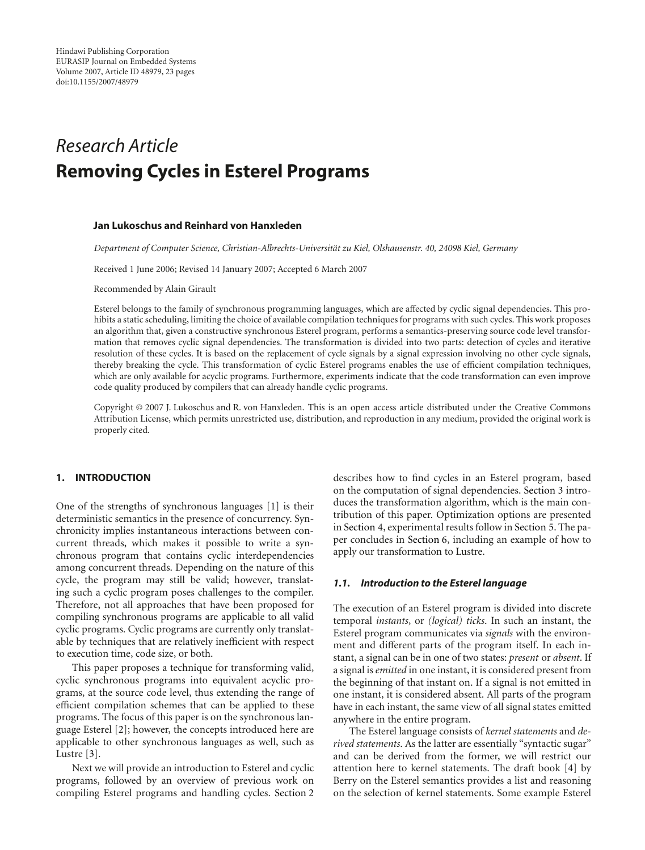# *Research Article* **Removing Cycles in Esterel Programs**

#### **Jan Lukoschus and Reinhard von Hanxleden**

*Department of Computer Science, Christian-Albrechts-Universitat zu Kiel, Olshausenstr. 40, 24098 Kiel, Germany ¨*

Received 1 June 2006; Revised 14 January 2007; Accepted 6 March 2007

Recommended by Alain Girault

Esterel belongs to the family of synchronous programming languages, which are affected by cyclic signal dependencies. This prohibits a static scheduling, limiting the choice of available compilation techniques for programs with such cycles. This work proposes an algorithm that, given a constructive synchronous Esterel program, performs a semantics-preserving source code level transformation that removes cyclic signal dependencies. The transformation is divided into two parts: detection of cycles and iterative resolution of these cycles. It is based on the replacement of cycle signals by a signal expression involving no other cycle signals, thereby breaking the cycle. This transformation of cyclic Esterel programs enables the use of efficient compilation techniques, which are only available for acyclic programs. Furthermore, experiments indicate that the code transformation can even improve code quality produced by compilers that can already handle cyclic programs.

Copyright © 2007 J. Lukoschus and R. von Hanxleden. This is an open access article distributed under the Creative Commons Attribution License, which permits unrestricted use, distribution, and reproduction in any medium, provided the original work is properly cited.

## **1. INTRODUCTION**

One of the strengths of synchronous languages [\[1\]](#page-22-1) is their deterministic semantics in the presence of concurrency. Synchronicity implies instantaneous interactions between concurrent threads, which makes it possible to write a synchronous program that contains cyclic interdependencies among concurrent threads. Depending on the nature of this cycle, the program may still be valid; however, translating such a cyclic program poses challenges to the compiler. Therefore, not all approaches that have been proposed for compiling synchronous programs are applicable to all valid cyclic programs. Cyclic programs are currently only translatable by techniques that are relatively inefficient with respect to execution time, code size, or both.

This paper proposes a technique for transforming valid, cyclic synchronous programs into equivalent acyclic programs, at the source code level, thus extending the range of efficient compilation schemes that can be applied to these programs. The focus of this paper is on the synchronous language Esterel [\[2](#page-22-2)]; however, the concepts introduced here are applicable to other synchronous languages as well, such as Lustre [\[3\]](#page-22-3).

Next we will provide an introduction to Esterel and cyclic programs, followed by an overview of previous work on compiling Esterel programs and handling cycles. [Section 2](#page-4-0)

describes how to find cycles in an Esterel program, based on the computation of signal dependencies. [Section 3](#page-7-0) introduces the transformation algorithm, which is the main contribution of this paper. Optimization options are presented in [Section 4,](#page-15-0) experimental results follow in [Section 5.](#page-18-0) The paper concludes in [Section 6,](#page-20-0) including an example of how to apply our transformation to Lustre.

## *1.1. Introduction to the Esterel language*

The execution of an Esterel program is divided into discrete temporal *instants*, or *(logical) ticks*. In such an instant, the Esterel program communicates via *signals* with the environment and different parts of the program itself. In each instant, a signal can be in one of two states: *present* or *absent*. If a signal is*emitted* in one instant, it is considered present from the beginning of that instant on. If a signal is not emitted in one instant, it is considered absent. All parts of the program have in each instant, the same view of all signal states emitted anywhere in the entire program.

The Esterel language consists of *kernel statements* and *derived statements*. As the latter are essentially "syntactic sugar" and can be derived from the former, we will restrict our attention here to kernel statements. The draft book [\[4\]](#page-22-4) by Berry on the Esterel semantics provides a list and reasoning on the selection of kernel statements. Some example Esterel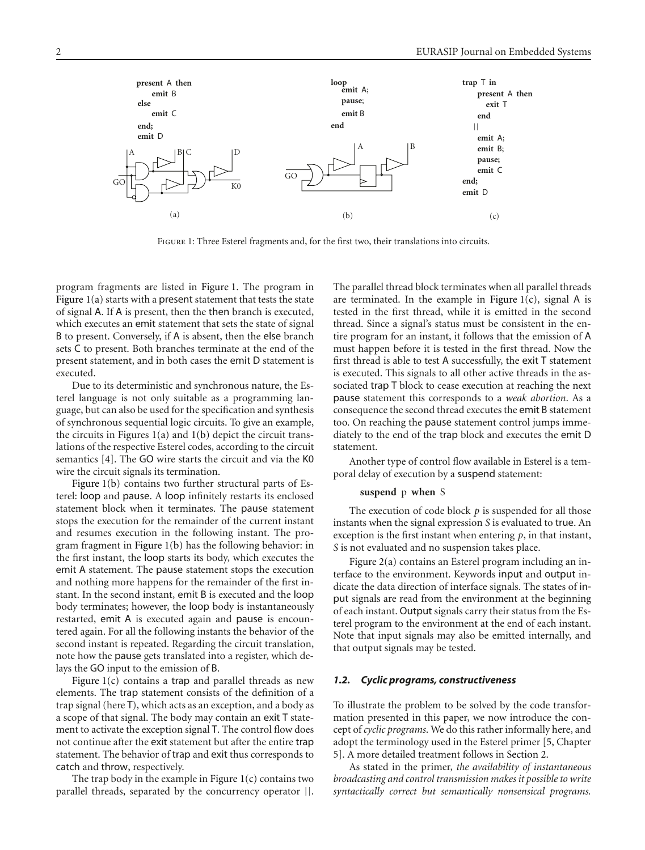<span id="page-1-2"></span><span id="page-1-1"></span>

<span id="page-1-0"></span>Figure 1: Three Esterel fragments and, for the first two, their translations into circuits.

program fragments are listed in [Figure 1.](#page-1-0) The program in Figure  $1(a)$  starts with a present statement that tests the state of signal A. If A is present, then the then branch is executed, which executes an emit statement that sets the state of signal B to present. Conversely, if A is absent, then the else branch sets C to present. Both branches terminate at the end of the present statement, and in both cases the emit D statement is executed.

Due to its deterministic and synchronous nature, the Esterel language is not only suitable as a programming language, but can also be used for the specification and synthesis of synchronous sequential logic circuits. To give an example, the circuits in Figures  $1(a)$  and  $1(b)$  depict the circuit translations of the respective Esterel codes, according to the circuit semantics [\[4](#page-22-4)]. The GO wire starts the circuit and via the K0 wire the circuit signals its termination.

[Figure 1\(b\)](#page-1-2) contains two further structural parts of Esterel: loop and pause. A loop infinitely restarts its enclosed statement block when it terminates. The pause statement stops the execution for the remainder of the current instant and resumes execution in the following instant. The program fragment in [Figure 1\(b\)](#page-1-2) has the following behavior: in the first instant, the loop starts its body, which executes the emit A statement. The pause statement stops the execution and nothing more happens for the remainder of the first instant. In the second instant, emit B is executed and the loop body terminates; however, the loop body is instantaneously restarted, emit A is executed again and pause is encountered again. For all the following instants the behavior of the second instant is repeated. Regarding the circuit translation, note how the pause gets translated into a register, which delays the GO input to the emission of B.

Figure  $1(c)$  contains a trap and parallel threads as new elements. The trap statement consists of the definition of a trap signal (here T), which acts as an exception, and a body as a scope of that signal. The body may contain an exit T statement to activate the exception signal T. The control flow does not continue after the exit statement but after the entire trap statement. The behavior of trap and exit thus corresponds to catch and throw, respectively.

The trap body in the example in Figure  $1(c)$  contains two parallel threads, separated by the concurrency operator ||.

<span id="page-1-3"></span>The parallel thread block terminates when all parallel threads are terminated. In the example in Figure  $1(c)$ , signal A is tested in the first thread, while it is emitted in the second thread. Since a signal's status must be consistent in the entire program for an instant, it follows that the emission of A must happen before it is tested in the first thread. Now the first thread is able to test A successfully, the exit T statement is executed. This signals to all other active threads in the associated trap T block to cease execution at reaching the next pause statement this corresponds to a *weak abortion*. As a consequence the second thread executes the emit B statement too. On reaching the pause statement control jumps immediately to the end of the trap block and executes the emit D statement.

Another type of control flow available in Esterel is a temporal delay of execution by a suspend statement:

#### **suspend** p **when** S

The execution of code block *p* is suspended for all those instants when the signal expression *S* is evaluated to true. An exception is the first instant when entering *p*, in that instant, *S* is not evaluated and no suspension takes place.

[Figure 2\(a\)](#page-2-0) contains an Esterel program including an interface to the environment. Keywords input and output indicate the data direction of interface signals. The states of input signals are read from the environment at the beginning of each instant. Output signals carry their status from the Esterel program to the environment at the end of each instant. Note that input signals may also be emitted internally, and that output signals may be tested.

#### <span id="page-1-4"></span>*1.2. Cyclic programs, constructiveness*

To illustrate the problem to be solved by the code transformation presented in this paper, we now introduce the concept of *cyclic programs*. We do this rather informally here, and adopt the terminology used in the Esterel primer [\[5](#page-22-5), Chapter 5]. A more detailed treatment follows in [Section 2.](#page-4-0)

As stated in the primer, *the availability of instantaneous broadcasting and control transmission makes it possible to write syntactically correct but semantically nonsensical programs.*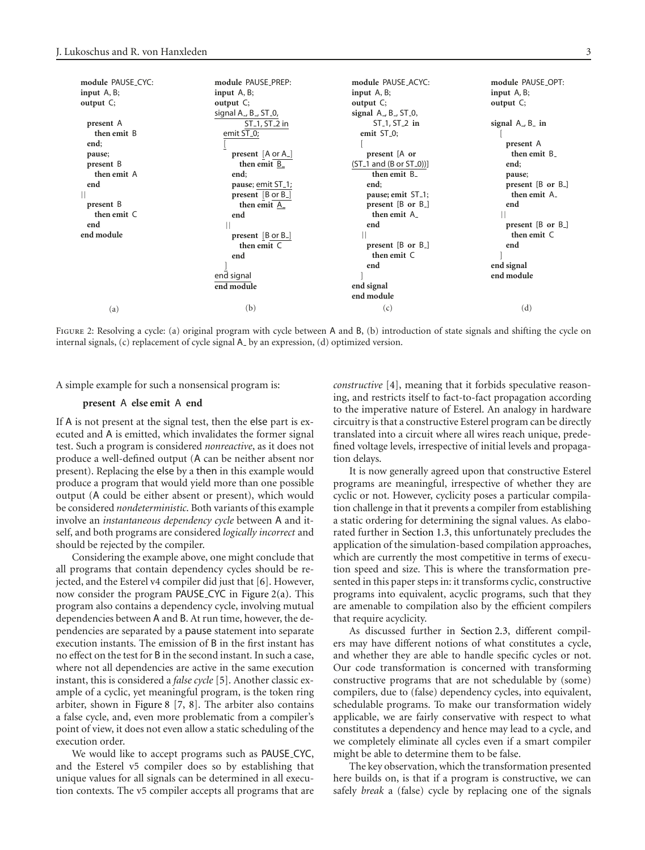<span id="page-2-4"></span><span id="page-2-3"></span><span id="page-2-2"></span><span id="page-2-0"></span>

| module PAUSE_CYC:<br>input $A, B$ ; | module PAUSE_PREP:<br>input $A, B$ ;                                        | module PAUSE_ACYC:<br>input $A, B$ ;        | module PAUSE OPT:<br>input $A, B$ ; |
|-------------------------------------|-----------------------------------------------------------------------------|---------------------------------------------|-------------------------------------|
| output $C$ ;                        | output $C$ ;<br>signal A <sub>-</sub> , B <sub>-</sub> , ST <sub>-0</sub> , | output $C$ ;<br>signal $A$ , $B$ , $ST_0$ , | output $C$ ;                        |
| present A                           | ST <sub>-1</sub> , ST <sub>-2</sub> in                                      | $ST_1, ST_2$ in                             | signal $A$ , $B$ in                 |
| then emit B                         | emit ST <sub>-0</sub> ;                                                     | emit ST <sub>-0</sub> ;                     |                                     |
| end;                                |                                                                             |                                             | present A                           |
| pause;                              | present $[A \text{ or } A]$                                                 | present [A or                               | then emit B_                        |
| present B                           | then emit B_                                                                | $(ST_1$ and $(B or ST_0)]$                  | end;                                |
| then emit A                         | end;                                                                        | then emit B_                                | pause;                              |
| end                                 | pause; emit ST_1;                                                           | end;                                        | present [B or B <sub>-</sub> ]      |
|                                     | present [B or B <sub>-</sub> ]                                              | pause; emit ST <sub>-1</sub> ;              | then emit A_                        |
| present B                           | then emit A_                                                                | present $[B \text{ or } B]$                 | end                                 |
| then emit C                         | end                                                                         | then emit A                                 |                                     |
| end                                 |                                                                             | end                                         | present $[B \text{ or } B_{-}]$     |
| end module                          | present $[B \text{ or } B]$                                                 |                                             | then emit C                         |
|                                     | then emit C                                                                 | present $[B \text{ or } B]$                 | end                                 |
|                                     | end                                                                         | then emit C                                 |                                     |
|                                     |                                                                             | end                                         | end signal                          |
|                                     | end signal                                                                  |                                             | end module                          |
|                                     | end module                                                                  | end signal                                  |                                     |
|                                     |                                                                             | end module                                  |                                     |
| (a)                                 | (b)                                                                         | (c)                                         | (d)                                 |

<span id="page-2-1"></span>FIGURE 2: Resolving a cycle: (a) original program with cycle between A and B, (b) introduction of state signals and shifting the cycle on internal signals, (c) replacement of cycle signal  $A$ <sub>-</sub> by an expression, (d) optimized version.

A simple example for such a nonsensical program is:

#### **present** A **else emit** A **end**

If A is not present at the signal test, then the else part is executed and A is emitted, which invalidates the former signal test. Such a program is considered *nonreactive*, as it does not produce a well-defined output (A can be neither absent nor present). Replacing the else by a then in this example would produce a program that would yield more than one possible output (A could be either absent or present), which would be considered *nondeterministic*. Both variants of this example involve an *instantaneous dependency cycle* between A and itself, and both programs are considered *logically incorrect* and should be rejected by the compiler.

Considering the example above, one might conclude that all programs that contain dependency cycles should be rejected, and the Esterel v4 compiler did just that [\[6\]](#page-22-6). However, now consider the program PAUSE CYC in [Figure 2\(a\).](#page-2-0) This program also contains a dependency cycle, involving mutual dependencies between A and B. At run time, however, the dependencies are separated by a pause statement into separate execution instants. The emission of B in the first instant has no effect on the test for B in the second instant. In such a case, where not all dependencies are active in the same execution instant, this is considered a *false cycle* [\[5](#page-22-5)]. Another classic example of a cyclic, yet meaningful program, is the token ring arbiter, shown in [Figure 8](#page-14-0) [\[7,](#page-22-7) [8\]](#page-22-8). The arbiter also contains a false cycle, and, even more problematic from a compiler's point of view, it does not even allow a static scheduling of the execution order.

We would like to accept programs such as PAUSE CYC, and the Esterel v5 compiler does so by establishing that unique values for all signals can be determined in all execution contexts. The v5 compiler accepts all programs that are *constructive* [\[4\]](#page-22-4), meaning that it forbids speculative reasoning, and restricts itself to fact-to-fact propagation according to the imperative nature of Esterel. An analogy in hardware circuitry is that a constructive Esterel program can be directly translated into a circuit where all wires reach unique, predefined voltage levels, irrespective of initial levels and propagation delays.

It is now generally agreed upon that constructive Esterel programs are meaningful, irrespective of whether they are cyclic or not. However, cyclicity poses a particular compilation challenge in that it prevents a compiler from establishing a static ordering for determining the signal values. As elaborated further in [Section 1.3,](#page-3-0) this unfortunately precludes the application of the simulation-based compilation approaches, which are currently the most competitive in terms of execution speed and size. This is where the transformation presented in this paper steps in: it transforms cyclic, constructive programs into equivalent, acyclic programs, such that they are amenable to compilation also by the efficient compilers that require acyclicity.

As discussed further in [Section 2.3,](#page-5-0) different compilers may have different notions of what constitutes a cycle, and whether they are able to handle specific cycles or not. Our code transformation is concerned with transforming constructive programs that are not schedulable by (some) compilers, due to (false) dependency cycles, into equivalent, schedulable programs. To make our transformation widely applicable, we are fairly conservative with respect to what constitutes a dependency and hence may lead to a cycle, and we completely eliminate all cycles even if a smart compiler might be able to determine them to be false.

The key observation, which the transformation presented here builds on, is that if a program is constructive, we can safely *break* a (false) cycle by replacing one of the signals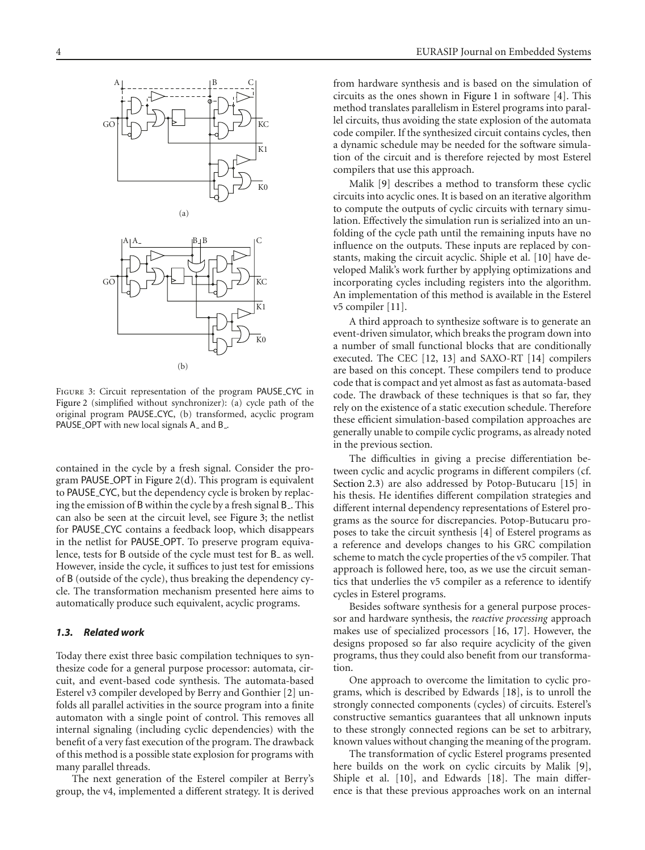

<span id="page-3-1"></span>Figure 3: Circuit representation of the program PAUSE CYC in [Figure 2](#page-2-1) (simplified without synchronizer): (a) cycle path of the original program PAUSE CYC, (b) transformed, acyclic program PAUSE\_OPT with new local signals A\_ and B\_.

contained in the cycle by a fresh signal. Consider the program PAUSE OPT in [Figure 2\(d\).](#page-2-2) This program is equivalent to PAUSE CYC, but the dependency cycle is broken by replacing the emission of B within the cycle by a fresh signal B . This can also be seen at the circuit level, see [Figure 3;](#page-3-1) the netlist for PAUSE CYC contains a feedback loop, which disappears in the netlist for PAUSE OPT. To preserve program equivalence, tests for B outside of the cycle must test for B<sub>-</sub> as well. However, inside the cycle, it suffices to just test for emissions of B (outside of the cycle), thus breaking the dependency cycle. The transformation mechanism presented here aims to automatically produce such equivalent, acyclic programs.

## <span id="page-3-0"></span>*1.3. Related work*

Today there exist three basic compilation techniques to synthesize code for a general purpose processor: automata, circuit, and event-based code synthesis. The automata-based Esterel v3 compiler developed by Berry and Gonthier [\[2\]](#page-22-2) unfolds all parallel activities in the source program into a finite automaton with a single point of control. This removes all internal signaling (including cyclic dependencies) with the benefit of a very fast execution of the program. The drawback of this method is a possible state explosion for programs with many parallel threads.

The next generation of the Esterel compiler at Berry's group, the v4, implemented a different strategy. It is derived from hardware synthesis and is based on the simulation of circuits as the ones shown in [Figure 1](#page-1-0) in software [\[4](#page-22-4)]. This method translates parallelism in Esterel programs into parallel circuits, thus avoiding the state explosion of the automata code compiler. If the synthesized circuit contains cycles, then a dynamic schedule may be needed for the software simulation of the circuit and is therefore rejected by most Esterel compilers that use this approach.

Malik [\[9](#page-22-9)] describes a method to transform these cyclic circuits into acyclic ones. It is based on an iterative algorithm to compute the outputs of cyclic circuits with ternary simulation. Effectively the simulation run is serialized into an unfolding of the cycle path until the remaining inputs have no influence on the outputs. These inputs are replaced by constants, making the circuit acyclic. Shiple et al. [\[10\]](#page-22-10) have developed Malik's work further by applying optimizations and incorporating cycles including registers into the algorithm. An implementation of this method is available in the Esterel v5 compiler [\[11\]](#page-22-11).

A third approach to synthesize software is to generate an event-driven simulator, which breaks the program down into a number of small functional blocks that are conditionally executed. The CEC [\[12](#page-22-12), [13](#page-22-13)] and SAXO-RT [\[14\]](#page-22-14) compilers are based on this concept. These compilers tend to produce code that is compact and yet almost as fast as automata-based code. The drawback of these techniques is that so far, they rely on the existence of a static execution schedule. Therefore these efficient simulation-based compilation approaches are generally unable to compile cyclic programs, as already noted in the previous section.

The difficulties in giving a precise differentiation between cyclic and acyclic programs in different compilers (cf. [Section 2.3\)](#page-5-0) are also addressed by Potop-Butucaru [\[15\]](#page-22-15) in his thesis. He identifies different compilation strategies and different internal dependency representations of Esterel programs as the source for discrepancies. Potop-Butucaru proposes to take the circuit synthesis [\[4\]](#page-22-4) of Esterel programs as a reference and develops changes to his GRC compilation scheme to match the cycle properties of the v5 compiler. That approach is followed here, too, as we use the circuit semantics that underlies the v5 compiler as a reference to identify cycles in Esterel programs.

Besides software synthesis for a general purpose processor and hardware synthesis, the *reactive processing* approach makes use of specialized processors [\[16,](#page-22-16) [17](#page-22-17)]. However, the designs proposed so far also require acyclicity of the given programs, thus they could also benefit from our transformation.

One approach to overcome the limitation to cyclic programs, which is described by Edwards [\[18\]](#page-22-18), is to unroll the strongly connected components (cycles) of circuits. Esterel's constructive semantics guarantees that all unknown inputs to these strongly connected regions can be set to arbitrary, known values without changing the meaning of the program.

The transformation of cyclic Esterel programs presented here builds on the work on cyclic circuits by Malik [\[9](#page-22-9)], Shiple et al. [\[10](#page-22-10)], and Edwards [\[18](#page-22-18)]. The main difference is that these previous approaches work on an internal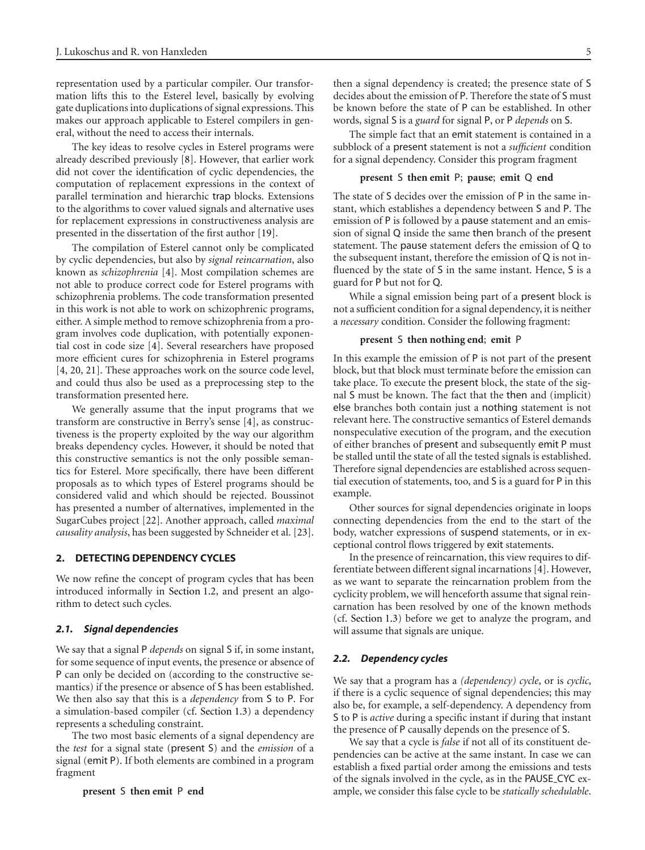representation used by a particular compiler. Our transformation lifts this to the Esterel level, basically by evolving gate duplications into duplications of signal expressions. This makes our approach applicable to Esterel compilers in general, without the need to access their internals.

The key ideas to resolve cycles in Esterel programs were already described previously [\[8\]](#page-22-8). However, that earlier work did not cover the identification of cyclic dependencies, the computation of replacement expressions in the context of parallel termination and hierarchic trap blocks. Extensions to the algorithms to cover valued signals and alternative uses for replacement expressions in constructiveness analysis are presented in the dissertation of the first author [\[19\]](#page-22-19).

The compilation of Esterel cannot only be complicated by cyclic dependencies, but also by *signal reincarnation*, also known as *schizophrenia* [\[4\]](#page-22-4). Most compilation schemes are not able to produce correct code for Esterel programs with schizophrenia problems. The code transformation presented in this work is not able to work on schizophrenic programs, either. A simple method to remove schizophrenia from a program involves code duplication, with potentially exponential cost in code size [\[4\]](#page-22-4). Several researchers have proposed more efficient cures for schizophrenia in Esterel programs [\[4,](#page-22-4) [20](#page-22-20), [21](#page-22-21)]. These approaches work on the source code level, and could thus also be used as a preprocessing step to the transformation presented here.

We generally assume that the input programs that we transform are constructive in Berry's sense [\[4\]](#page-22-4), as constructiveness is the property exploited by the way our algorithm breaks dependency cycles. However, it should be noted that this constructive semantics is not the only possible semantics for Esterel. More specifically, there have been different proposals as to which types of Esterel programs should be considered valid and which should be rejected. Boussinot has presented a number of alternatives, implemented in the SugarCubes project [\[22](#page-22-22)]. Another approach, called *maximal causality analysis*, has been suggested by Schneider et al. [\[23](#page-22-23)].

#### <span id="page-4-0"></span>**2. DETECTING DEPENDENCY CYCLES**

We now refine the concept of program cycles that has been introduced informally in [Section 1.2,](#page-1-4) and present an algorithm to detect such cycles.

## <span id="page-4-1"></span>*2.1. Signal dependencies*

We say that a signal P *depends* on signal S if, in some instant, for some sequence of input events, the presence or absence of P can only be decided on (according to the constructive semantics) if the presence or absence of S has been established. We then also say that this is a *dependency* from S to P. For a simulation-based compiler (cf. [Section 1.3\)](#page-3-0) a dependency represents a scheduling constraint.

The two most basic elements of a signal dependency are the *test* for a signal state (present S) and the *emission* of a signal (emit P). If both elements are combined in a program fragment

then a signal dependency is created; the presence state of S decides about the emission of P. Therefore the state of S must be known before the state of P can be established. In other words, signal S is a *guard* for signal P, or P *depends* on S.

The simple fact that an emit statement is contained in a subblock of a present statement is not a *sufficient* condition for a signal dependency. Consider this program fragment

#### **present** S **then emit** P; **pause**; **emit** Q **end**

The state of S decides over the emission of P in the same instant, which establishes a dependency between S and P. The emission of P is followed by a pause statement and an emission of signal Q inside the same then branch of the present statement. The pause statement defers the emission of Q to the subsequent instant, therefore the emission of Q is not influenced by the state of S in the same instant. Hence, S is a guard for P but not for Q.

While a signal emission being part of a present block is not a sufficient condition for a signal dependency, it is neither a *necessary* condition. Consider the following fragment:

#### **present** S **then nothing end**; **emit** P

In this example the emission of P is not part of the present block, but that block must terminate before the emission can take place. To execute the present block, the state of the signal S must be known. The fact that the then and (implicit) else branches both contain just a nothing statement is not relevant here. The constructive semantics of Esterel demands nonspeculative execution of the program, and the execution of either branches of present and subsequently emit P must be stalled until the state of all the tested signals is established. Therefore signal dependencies are established across sequential execution of statements, too, and S is a guard for P in this example.

Other sources for signal dependencies originate in loops connecting dependencies from the end to the start of the body, watcher expressions of suspend statements, or in exceptional control flows triggered by exit statements.

In the presence of reincarnation, this view requires to differentiate between different signal incarnations [\[4\]](#page-22-4). However, as we want to separate the reincarnation problem from the cyclicity problem, we will henceforth assume that signal reincarnation has been resolved by one of the known methods (cf. [Section 1.3\)](#page-3-0) before we get to analyze the program, and will assume that signals are unique.

#### *2.2. Dependency cycles*

We say that a program has a *(dependency) cycle*, or is *cyclic*, if there is a cyclic sequence of signal dependencies; this may also be, for example, a self-dependency. A dependency from S to P is *active* during a specific instant if during that instant the presence of P causally depends on the presence of S.

We say that a cycle is *false* if not all of its constituent dependencies can be active at the same instant. In case we can establish a fixed partial order among the emissions and tests of the signals involved in the cycle, as in the PAUSE CYC example, we consider this false cycle to be *statically schedulable*.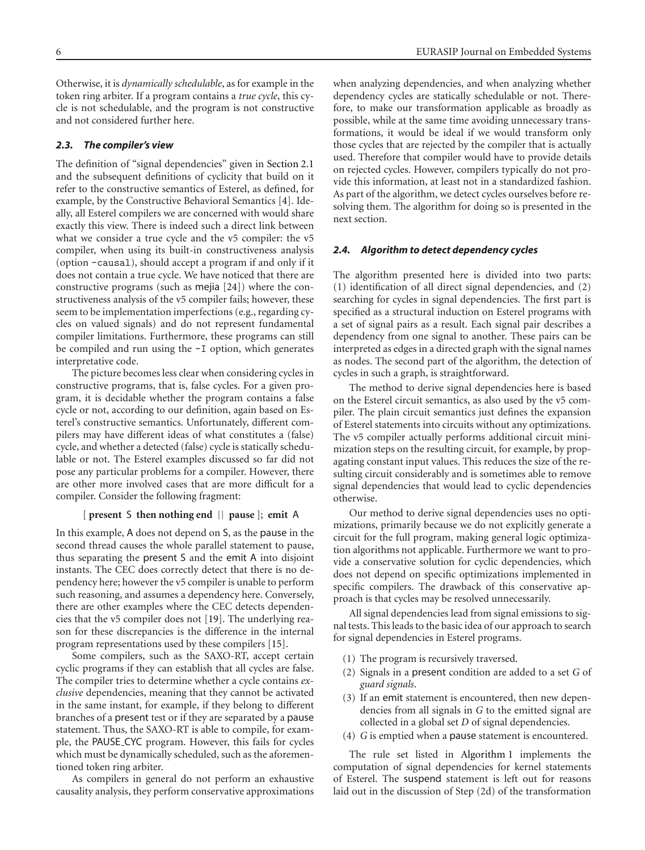Otherwise, it is *dynamically schedulable*, as for example in the token ring arbiter. If a program contains a *true cycle*, this cycle is not schedulable, and the program is not constructive and not considered further here.

## <span id="page-5-0"></span>*2.3. The compiler's view*

The definition of "signal dependencies" given in [Section 2.1](#page-4-1) and the subsequent definitions of cyclicity that build on it refer to the constructive semantics of Esterel, as defined, for example, by the Constructive Behavioral Semantics [\[4](#page-22-4)]. Ideally, all Esterel compilers we are concerned with would share exactly this view. There is indeed such a direct link between what we consider a true cycle and the v5 compiler: the v5 compiler, when using its built-in constructiveness analysis (option -causal), should accept a program if and only if it does not contain a true cycle. We have noticed that there are constructive programs (such as mejia [\[24\]](#page-22-24)) where the constructiveness analysis of the v5 compiler fails; however, these seem to be implementation imperfections (e.g., regarding cycles on valued signals) and do not represent fundamental compiler limitations. Furthermore, these programs can still be compiled and run using the -I option, which generates interpretative code.

The picture becomes less clear when considering cycles in constructive programs, that is, false cycles. For a given program, it is decidable whether the program contains a false cycle or not, according to our definition, again based on Esterel's constructive semantics. Unfortunately, different compilers may have different ideas of what constitutes a (false) cycle, and whether a detected (false) cycle is statically schedulable or not. The Esterel examples discussed so far did not pose any particular problems for a compiler. However, there are other more involved cases that are more difficult for a compiler. Consider the following fragment:

## [ **present** S **then nothing end** || **pause** ]; **emit** A

In this example, A does not depend on S, as the pause in the second thread causes the whole parallel statement to pause, thus separating the present S and the emit A into disjoint instants. The CEC does correctly detect that there is no dependency here; however the v5 compiler is unable to perform such reasoning, and assumes a dependency here. Conversely, there are other examples where the CEC detects dependencies that the v5 compiler does not [\[19](#page-22-19)]. The underlying reason for these discrepancies is the difference in the internal program representations used by these compilers [\[15](#page-22-15)].

Some compilers, such as the SAXO-RT, accept certain cyclic programs if they can establish that all cycles are false. The compiler tries to determine whether a cycle contains *exclusive* dependencies, meaning that they cannot be activated in the same instant, for example, if they belong to different branches of a present test or if they are separated by a pause statement. Thus, the SAXO-RT is able to compile, for example, the PAUSE CYC program. However, this fails for cycles which must be dynamically scheduled, such as the aforementioned token ring arbiter.

As compilers in general do not perform an exhaustive causality analysis, they perform conservative approximations

when analyzing dependencies, and when analyzing whether dependency cycles are statically schedulable or not. Therefore, to make our transformation applicable as broadly as possible, while at the same time avoiding unnecessary transformations, it would be ideal if we would transform only those cycles that are rejected by the compiler that is actually used. Therefore that compiler would have to provide details on rejected cycles. However, compilers typically do not provide this information, at least not in a standardized fashion. As part of the algorithm, we detect cycles ourselves before resolving them. The algorithm for doing so is presented in the next section.

#### <span id="page-5-1"></span>*2.4. Algorithm to detect dependency cycles*

The algorithm presented here is divided into two parts: (1) identification of all direct signal dependencies, and (2) searching for cycles in signal dependencies. The first part is specified as a structural induction on Esterel programs with a set of signal pairs as a result. Each signal pair describes a dependency from one signal to another. These pairs can be interpreted as edges in a directed graph with the signal names as nodes. The second part of the algorithm, the detection of cycles in such a graph, is straightforward.

The method to derive signal dependencies here is based on the Esterel circuit semantics, as also used by the v5 compiler. The plain circuit semantics just defines the expansion of Esterel statements into circuits without any optimizations. The v5 compiler actually performs additional circuit minimization steps on the resulting circuit, for example, by propagating constant input values. This reduces the size of the resulting circuit considerably and is sometimes able to remove signal dependencies that would lead to cyclic dependencies otherwise.

Our method to derive signal dependencies uses no optimizations, primarily because we do not explicitly generate a circuit for the full program, making general logic optimization algorithms not applicable. Furthermore we want to provide a conservative solution for cyclic dependencies, which does not depend on specific optimizations implemented in specific compilers. The drawback of this conservative approach is that cycles may be resolved unnecessarily.

All signal dependencies lead from signal emissions to signal tests. This leads to the basic idea of our approach to search for signal dependencies in Esterel programs.

- (1) The program is recursively traversed.
- (2) Signals in a present condition are added to a set *G* of *guard signals*.
- (3) If an emit statement is encountered, then new dependencies from all signals in *G* to the emitted signal are collected in a global set *D* of signal dependencies.
- (4) *G* is emptied when a pause statement is encountered.

The rule set listed in [Algorithm 1](#page-6-0) implements the computation of signal dependencies for kernel statements of Esterel. The suspend statement is left out for reasons laid out in the discussion of Step (2d) of the transformation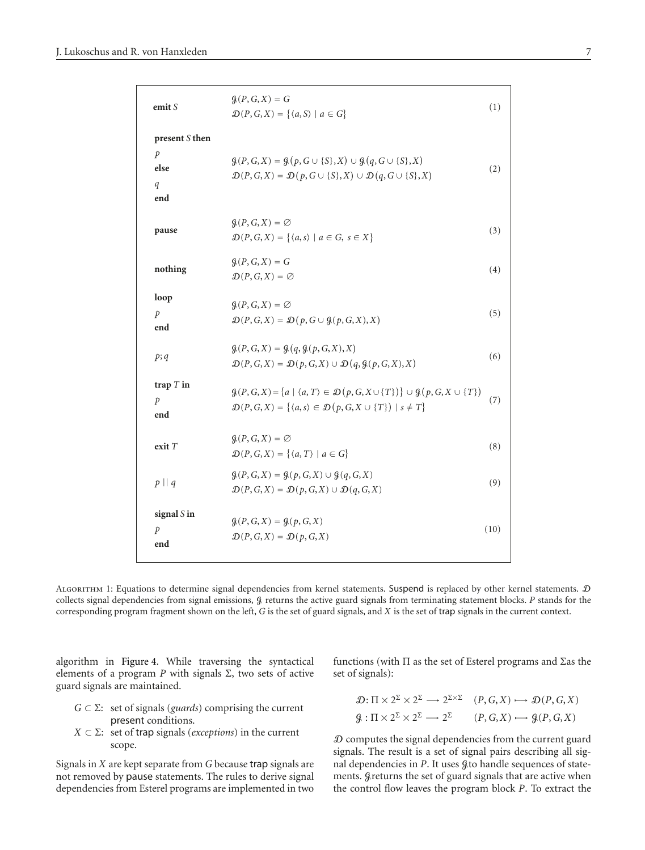| emit $S$                                            | $\mathcal{G}(P, G, X) = G$<br>$\mathcal{D}(P,G,X) = \{ \langle a, S \rangle \mid a \in G \}$                                                                                                                                   | (1)  |
|-----------------------------------------------------|--------------------------------------------------------------------------------------------------------------------------------------------------------------------------------------------------------------------------------|------|
| present S then<br>$\mathcal{P}$<br>else<br>q<br>end | $\mathcal{G}(P,G,X) = \mathcal{G}(p,G \cup \{S\},X) \cup \mathcal{G}(q,G \cup \{S\},X)$<br>$\mathcal{D}(P,G,X) = \mathcal{D}(p,G \cup \{S\},X) \cup \mathcal{D}(q,G \cup \{S\},X)$                                             | (2)  |
| pause                                               | $\mathcal{G}(P,G,X) = \emptyset$<br>$\mathcal{D}(P,G,X) = \{ \langle a,s \rangle \mid a \in G, s \in X \}$                                                                                                                     | (3)  |
| nothing                                             | $\mathcal{G}(P, G, X) = G$<br>$\mathcal{D}(P,G,X) = \emptyset$                                                                                                                                                                 | (4)  |
| loop<br>$\mathcal{P}$<br>end                        | $\mathcal{G}(P,G,X) = \emptyset$<br>$\mathcal{D}(P,G,X) = \mathcal{D}(p,G \cup \mathcal{G}(p,G,X),X)$                                                                                                                          | (5)  |
| p; q                                                | $g(P, G, X) = g(q, g(p, G, X), X)$<br>$\mathcal{D}(P,G,X) = \mathcal{D}(p,G,X) \cup \mathcal{D}(q,\mathcal{G}(p,G,X),X)$                                                                                                       | (6)  |
| trap $T$ in<br>p<br>end                             | $\mathcal{G}(P,G,X) = \{a \mid \langle a,T \rangle \in \mathcal{D}(p,G,X \cup \{T\})\} \cup \mathcal{G}(p,G,X \cup \{T\})$<br>$\mathcal{D}(P,G,X) = \{ \langle a,s \rangle \in \mathcal{D}(p,G,X \cup \{T\}) \mid s \neq T \}$ | (7)  |
| exit T                                              | $\mathcal{G}(P,G,X) = \emptyset$<br>$\mathcal{D}(P,G,X) = \{ \langle a,T \rangle \mid a \in G \}$                                                                                                                              | (8)  |
| $p \mid q$                                          | $\mathcal{G}(P,G,X) = \mathcal{G}(p,G,X) \cup \mathcal{G}(q,G,X)$<br>$\mathcal{D}(P,G,X) = \mathcal{D}(p,G,X) \cup \mathcal{D}(q,G,X)$                                                                                         | (9)  |
| signal $S$ in<br>$\mathcal{P}$<br>end               | $G(P, G, X) = G(p, G, X)$<br>$\mathcal{D}(P,G,X) = \mathcal{D}(p,G,X)$                                                                                                                                                         | (10) |

<span id="page-6-0"></span>ALGORITHM 1: Equations to determine signal dependencies from kernel statements. Suspend is replaced by other kernel statements. D collects signal dependencies from signal emissions,  $\mathcal{G}$  returns the active guard signals from terminating statement blocks. *P* stands for the corresponding program fragment shown on the left, *G* is the set of guard signals, and *X* is the set of trap signals in the current context.

algorithm in [Figure 4.](#page-7-1) While traversing the syntactical elements of a program *P* with signals  $Σ$ , two sets of active guard signals are maintained.

- *<sup>G</sup>* <sup>⊂</sup> <sup>Σ</sup>: set of signals (*guards*) comprising the current present conditions.
- $X$  ⊂ Σ: set of trap signals (*exceptions*) in the current scope.

Signals in *X* are kept separate from *G* because trap signals are not removed by pause statements. The rules to derive signal dependencies from Esterel programs are implemented in two

functions (with Π as the set of Esterel programs and Σas the set of signals):

$$
\mathcal{D}: \Pi \times 2^{\Sigma} \times 2^{\Sigma} \longrightarrow 2^{\Sigma \times \Sigma} \quad (P, G, X) \longmapsto \mathcal{D}(P, G, X)
$$
  

$$
\mathcal{G}: \Pi \times 2^{\Sigma} \times 2^{\Sigma} \longrightarrow 2^{\Sigma} \quad (P, G, X) \longrightarrow \mathcal{G}(P, G, X)
$$

D computes the signal dependencies from the current guard signals. The result is a set of signal pairs describing all signal dependencies in *P*. It uses  $g$  to handle sequences of statements. Greturns the set of guard signals that are active when the control flow leaves the program block *P*. To extract the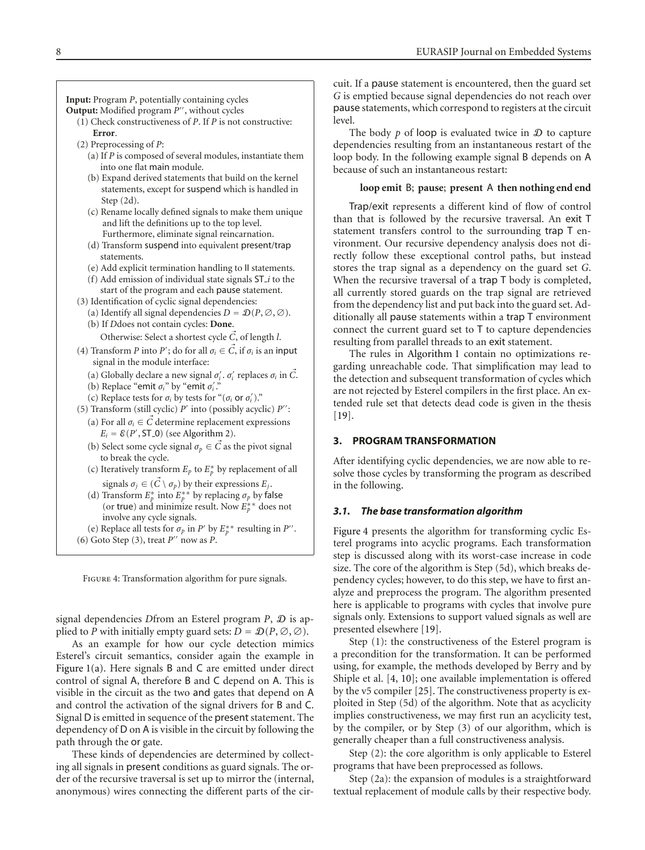**Input:** Program *P*, potentially containing cycles

**Output:** Modified program  $P'$ , without cycles

- (1) Check constructiveness of *P*. If *P* is not constructive: **Error**.
- (2) Preprocessing of *P*:
	- (a) If *P* is composed of several modules, instantiate them into one flat main module.
	- (b) Expand derived statements that build on the kernel statements, except for suspend which is handled in Step (2d).
	- (c) Rename locally defined signals to make them unique and lift the definitions up to the top level. Furthermore, eliminate signal reincarnation.
	- (d) Transform suspend into equivalent present/trap statements.
	- (e) Add explicit termination handling to II statements.
	- (f) Add emission of individual state signals ST *i* to the start of the program and each pause statement.
- (3) Identification of cyclic signal dependencies:
	- (a) Identify all signal dependencies  $D = \mathcal{D}(P, \emptyset, \emptyset)$ .
	- (b) If *D*does not contain cycles: **Done**.
		- Otherwise: Select a shortest cycle *C-*, of length *l*.
- (4) Transform *P* into *P*<sup>'</sup>; do for all  $\sigma_i \in \vec{C}$ , if  $\sigma_i$  is an input signal in the module interface:
	- (a) Globally declare a new signal  $\sigma_i'$ .  $\sigma_i'$  replaces  $\sigma_i$  in  $\vec{C}$ .
	- (b) Replace "emit  $\sigma_i$ " by "emit  $\sigma'_i$ ."
	- (c) Replace tests for  $\sigma_i$  by tests for " $(\sigma_i$  or  $\sigma'_i)$ ."
- (5) Transform (still cyclic) *P* into (possibly acyclic) *P*: (a) For all  $\sigma_i \in \vec{C}$  determine replacement expressions  $E_i = \mathcal{E}(P', \text{ST\_0})$  (see [Algorithm 2\)](#page-12-0).
	- (b) Select some cycle signal  $\sigma_p \in \vec{C}$  as the pivot signal to break the cycle.
	- (c) Iteratively transform  $E_p$  to  $E_p^*$  by replacement of all signals  $\sigma_j \in (\vec{C} \setminus \sigma_p)$  by their expressions  $E_j$ .
	- (d) Transform  $E_p^*$  into  $E_p^{**}$  by replacing  $\sigma_p$  by false (or true) and minimize result. Now  $E_p^*$  does not involve any cycle signals.
- (e) Replace all tests for  $\sigma_p$  in *P'* by  $E_p^{**}$  resulting in *P''*.  $(6)$  Goto Step  $(3)$ , treat  $P''$  now as P.

FIGURE 4: Transformation algorithm for pure signals.

<span id="page-7-1"></span>signal dependencies *D*from an Esterel program *P*, D is applied to *P* with initially empty guard sets:  $D = \mathcal{D}(P, \emptyset, \emptyset)$ .

As an example for how our cycle detection mimics Esterel's circuit semantics, consider again the example in [Figure 1\(a\).](#page-1-1) Here signals B and C are emitted under direct control of signal A, therefore B and C depend on A. This is visible in the circuit as the two and gates that depend on A and control the activation of the signal drivers for B and C. Signal D is emitted in sequence of the present statement. The dependency of D on A is visible in the circuit by following the path through the or gate.

These kinds of dependencies are determined by collecting all signals in present conditions as guard signals. The order of the recursive traversal is set up to mirror the (internal, anonymous) wires connecting the different parts of the circuit. If a pause statement is encountered, then the guard set *G* is emptied because signal dependencies do not reach over pause statements, which correspond to registers at the circuit level.

The body  $p$  of loop is evaluated twice in  $\mathcal D$  to capture dependencies resulting from an instantaneous restart of the loop body. In the following example signal B depends on A because of such an instantaneous restart:

## **loop emit** B; **pause**; **present** A **then nothing end end**

Trap/exit represents a different kind of flow of control than that is followed by the recursive traversal. An exit T statement transfers control to the surrounding trap T environment. Our recursive dependency analysis does not directly follow these exceptional control paths, but instead stores the trap signal as a dependency on the guard set *G*. When the recursive traversal of a trap T body is completed, all currently stored guards on the trap signal are retrieved from the dependency list and put back into the guard set. Additionally all pause statements within a trap T environment connect the current guard set to T to capture dependencies resulting from parallel threads to an exit statement.

The rules in [Algorithm 1](#page-6-0) contain no optimizations regarding unreachable code. That simplification may lead to the detection and subsequent transformation of cycles which are not rejected by Esterel compilers in the first place. An extended rule set that detects dead code is given in the thesis [\[19](#page-22-19)].

#### <span id="page-7-0"></span>**3. PROGRAM TRANSFORMATION**

After identifying cyclic dependencies, we are now able to resolve those cycles by transforming the program as described in the following.

#### <span id="page-7-2"></span>*3.1. The base transformation algorithm*

[Figure 4](#page-7-1) presents the algorithm for transforming cyclic Esterel programs into acyclic programs. Each transformation step is discussed along with its worst-case increase in code size. The core of the algorithm is Step (5d), which breaks dependency cycles; however, to do this step, we have to first analyze and preprocess the program. The algorithm presented here is applicable to programs with cycles that involve pure signals only. Extensions to support valued signals as well are presented elsewhere [\[19\]](#page-22-19).

Step (1): the constructiveness of the Esterel program is a precondition for the transformation. It can be performed using, for example, the methods developed by Berry and by Shiple et al. [\[4](#page-22-4), [10\]](#page-22-10); one available implementation is offered by the v5 compiler [\[25\]](#page-22-25). The constructiveness property is exploited in Step (5d) of the algorithm. Note that as acyclicity implies constructiveness, we may first run an acyclicity test, by the compiler, or by Step (3) of our algorithm, which is generally cheaper than a full constructiveness analysis.

Step (2): the core algorithm is only applicable to Esterel programs that have been preprocessed as follows.

Step (2a): the expansion of modules is a straightforward textual replacement of module calls by their respective body.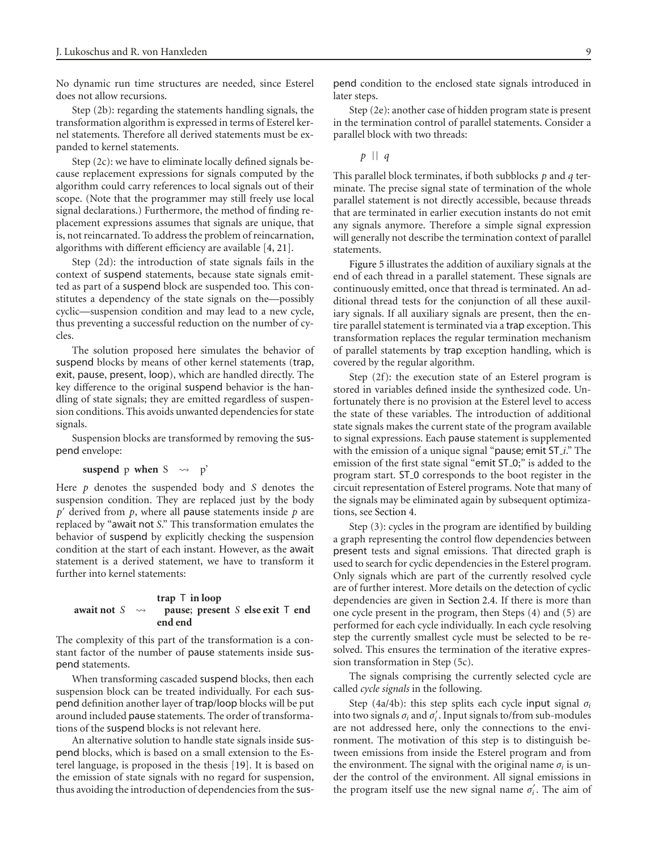No dynamic run time structures are needed, since Esterel does not allow recursions.

Step (2b): regarding the statements handling signals, the transformation algorithm is expressed in terms of Esterel kernel statements. Therefore all derived statements must be expanded to kernel statements.

Step (2c): we have to eliminate locally defined signals because replacement expressions for signals computed by the algorithm could carry references to local signals out of their scope. (Note that the programmer may still freely use local signal declarations.) Furthermore, the method of finding replacement expressions assumes that signals are unique, that is, not reincarnated. To address the problem of reincarnation, algorithms with different efficiency are available [\[4](#page-22-4), [21](#page-22-21)].

Step (2d): the introduction of state signals fails in the context of suspend statements, because state signals emitted as part of a suspend block are suspended too. This constitutes a dependency of the state signals on the—possibly cyclic—suspension condition and may lead to a new cycle, thus preventing a successful reduction on the number of cycles.

The solution proposed here simulates the behavior of suspend blocks by means of other kernel statements (trap, exit, pause, present, loop), which are handled directly. The key difference to the original suspend behavior is the handling of state signals; they are emitted regardless of suspension conditions. This avoids unwanted dependencies for state signals.

Suspension blocks are transformed by removing the suspend envelope:

## **suspend** p **when** S  $\rightsquigarrow$  p'

Here *p* denotes the suspended body and *S* denotes the suspension condition. They are replaced just by the body  $p'$  derived from  $p$ , where all pause statements inside  $p$  are replaced by "await not *S*." This transformation emulates the behavior of suspend by explicitly checking the suspension condition at the start of each instant. However, as the await statement is a derived statement, we have to transform it further into kernel statements:

#### **await not**  $S \rightarrow$ **trap** T **in loop pause**; **present** *S* **else exit** T **end end end**

The complexity of this part of the transformation is a constant factor of the number of pause statements inside suspend statements.

When transforming cascaded suspend blocks, then each suspension block can be treated individually. For each suspend definition another layer of trap/loop blocks will be put around included pause statements. The order of transformations of the suspend blocks is not relevant here.

An alternative solution to handle state signals inside suspend blocks, which is based on a small extension to the Esterel language, is proposed in the thesis [\[19](#page-22-19)]. It is based on the emission of state signals with no regard for suspension, thus avoiding the introduction of dependencies from the sus-

Step (2e): another case of hidden program state is present in the termination control of parallel statements. Consider a parallel block with two threads:

$$
p \mid \mid q
$$

This parallel block terminates, if both subblocks *p* and *q* terminate. The precise signal state of termination of the whole parallel statement is not directly accessible, because threads that are terminated in earlier execution instants do not emit any signals anymore. Therefore a simple signal expression will generally not describe the termination context of parallel statements.

[Figure 5](#page-9-0) illustrates the addition of auxiliary signals at the end of each thread in a parallel statement. These signals are continuously emitted, once that thread is terminated. An additional thread tests for the conjunction of all these auxiliary signals. If all auxiliary signals are present, then the entire parallel statement is terminated via a trap exception. This transformation replaces the regular termination mechanism of parallel statements by trap exception handling, which is covered by the regular algorithm.

Step (2f): the execution state of an Esterel program is stored in variables defined inside the synthesized code. Unfortunately there is no provision at the Esterel level to access the state of these variables. The introduction of additional state signals makes the current state of the program available to signal expressions. Each pause statement is supplemented with the emission of a unique signal "pause; emit ST *i*." The emission of the first state signal "emit ST<sub>-0</sub>;" is added to the program start. ST 0 corresponds to the boot register in the circuit representation of Esterel programs. Note that many of the signals may be eliminated again by subsequent optimizations, see [Section 4.](#page-15-0)

Step (3): cycles in the program are identified by building a graph representing the control flow dependencies between present tests and signal emissions. That directed graph is used to search for cyclic dependencies in the Esterel program. Only signals which are part of the currently resolved cycle are of further interest. More details on the detection of cyclic dependencies are given in [Section 2.4.](#page-5-1) If there is more than one cycle present in the program, then Steps (4) and (5) are performed for each cycle individually. In each cycle resolving step the currently smallest cycle must be selected to be resolved. This ensures the termination of the iterative expression transformation in Step (5c).

The signals comprising the currently selected cycle are called *cycle signals* in the following.

Step (4a/4b): this step splits each cycle input signal  $\sigma_i$ into two signals  $\sigma_i$  and  $\sigma'_i$ . Input signals to/from sub-modules are not addressed here, only the connections to the environment. The motivation of this step is to distinguish between emissions from inside the Esterel program and from the environment. The signal with the original name  $\sigma_i$  is under the control of the environment. All signal emissions in the program itself use the new signal name  $\sigma_i'$ . The aim of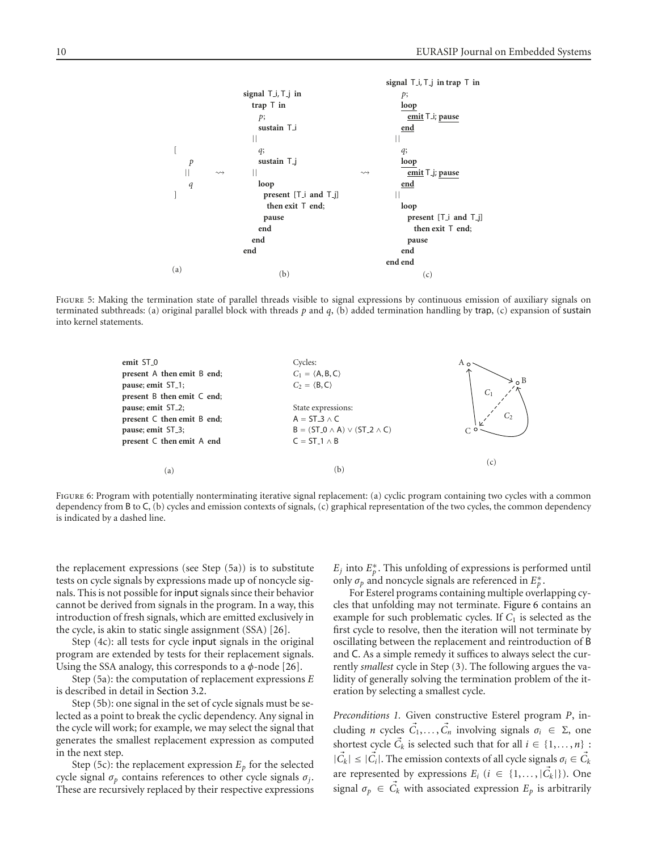

<span id="page-9-0"></span>FIGURE 5: Making the termination state of parallel threads visible to signal expressions by continuous emission of auxiliary signals on terminated subthreads: (a) original parallel block with threads *p* and *q*, (b) added termination handling by trap, (c) expansion of sustain into kernel statements.



<span id="page-9-1"></span>FIGURE 6: Program with potentially nonterminating iterative signal replacement: (a) cyclic program containing two cycles with a common dependency from B to C, (b) cycles and emission contexts of signals, (c) graphical representation of the two cycles, the common dependency is indicated by a dashed line.

the replacement expressions (see Step (5a)) is to substitute tests on cycle signals by expressions made up of noncycle signals. This is not possible forinput signals since their behavior cannot be derived from signals in the program. In a way, this introduction of fresh signals, which are emitted exclusively in the cycle, is akin to static single assignment (SSA) [\[26](#page-22-26)].

Step (4c): all tests for cycle input signals in the original program are extended by tests for their replacement signals. Using the SSA analogy, this corresponds to a *φ*-node [\[26\]](#page-22-26).

Step (5a): the computation of replacement expressions *E* is described in detail in [Section 3.2.](#page-11-0)

Step (5b): one signal in the set of cycle signals must be selected as a point to break the cyclic dependency. Any signal in the cycle will work; for example, we may select the signal that generates the smallest replacement expression as computed in the next step.

Step (5c): the replacement expression  $E_p$  for the selected cycle signal *σp* contains references to other cycle signals *σj*. These are recursively replaced by their respective expressions

 $E_j$  into  $E_p^*$ . This unfolding of expressions is performed until only  $\sigma_p$  and noncycle signals are referenced in  $E_p^*$ .

For Esterel programs containing multiple overlapping cycles that unfolding may not terminate. [Figure 6](#page-9-1) contains an example for such problematic cycles. If  $C_1$  is selected as the first cycle to resolve, then the iteration will not terminate by oscillating between the replacement and reintroduction of B and C. As a simple remedy it suffices to always select the currently *smallest* cycle in Step (3). The following argues the validity of generally solving the termination problem of the iteration by selecting a smallest cycle.

*Preconditions 1.* Given constructive Esterel program *P*, including *n* cycles  $\vec{C}_1, \ldots, \vec{C}_n$  involving signals  $\sigma_i \in \Sigma$ , one shortest cycle  $\vec{C}_k$  is selected such that for all  $i \in \{1, \ldots, n\}$ :  $|\vec{C_k}| \leq |\vec{C_i}|$ . The emission contexts of all cycle signals  $\sigma_i \in \vec{C_k}$ are represented by expressions  $E_i$  ( $i \in \{1, ..., |\vec{C}_k|\}\)$ ). One signal  $\sigma_p \in \vec{C}_k$  with associated expression  $E_p$  is arbitrarily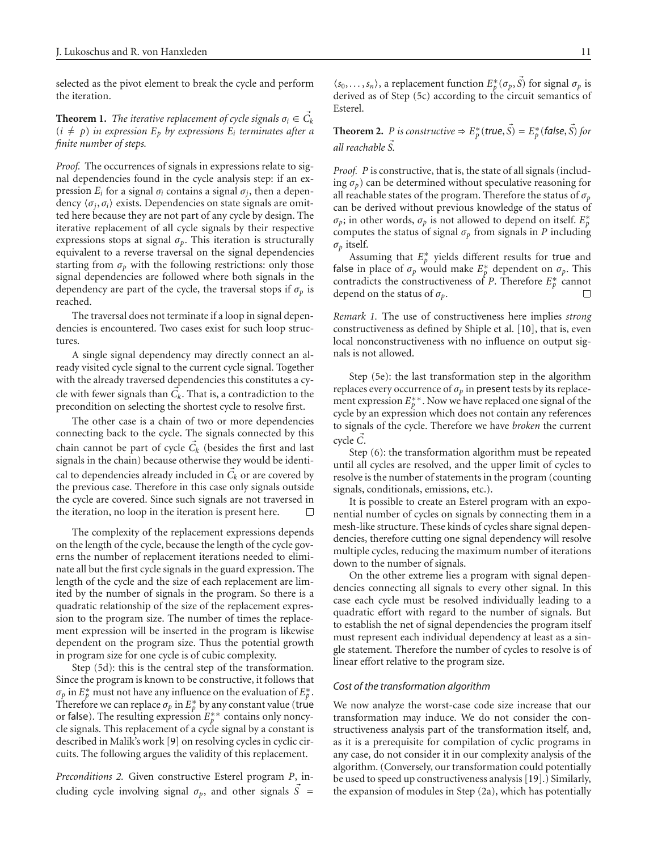selected as the pivot element to break the cycle and perform the iteration.

**Theorem 1.** *The iterative replacement of cycle signals*  $\sigma_i \in \vec{C}_k$  $(i \neq p)$  *in expression*  $E_p$  *by expressions*  $E_i$  *terminates after a finite number of steps.*

*Proof.* The occurrences of signals in expressions relate to signal dependencies found in the cycle analysis step: if an expression *Ei* for a signal *σi* contains a signal *σj*, then a dependency  $\langle \sigma_j, \sigma_i \rangle$  exists. Dependencies on state signals are omitted here because they are not part of any cycle by design. The iterative replacement of all cycle signals by their respective expressions stops at signal  $\sigma_p$ . This iteration is structurally equivalent to a reverse traversal on the signal dependencies starting from  $\sigma_p$  with the following restrictions: only those signal dependencies are followed where both signals in the dependency are part of the cycle, the traversal stops if  $\sigma_p$  is reached.

The traversal does not terminate if a loop in signal dependencies is encountered. Two cases exist for such loop structures.

A single signal dependency may directly connect an already visited cycle signal to the current cycle signal. Together with the already traversed dependencies this constitutes a cycle with fewer signals than  $\vec{C_k}$ . That is, a contradiction to the precondition on selecting the shortest cycle to resolve first.

The other case is a chain of two or more dependencies connecting back to the cycle. The signals connected by this chain cannot be part of cycle  $\vec{C}_k$  (besides the first and last signals in the chain) because otherwise they would be identical to dependencies already included in  $\vec{C}_k$  or are covered by the previous case. Therefore in this case only signals outside the cycle are covered. Since such signals are not traversed in the iteration, no loop in the iteration is present here. П

The complexity of the replacement expressions depends on the length of the cycle, because the length of the cycle governs the number of replacement iterations needed to eliminate all but the first cycle signals in the guard expression. The length of the cycle and the size of each replacement are limited by the number of signals in the program. So there is a quadratic relationship of the size of the replacement expression to the program size. The number of times the replacement expression will be inserted in the program is likewise dependent on the program size. Thus the potential growth in program size for one cycle is of cubic complexity.

Step (5d): this is the central step of the transformation. Since the program is known to be constructive, it follows that  $\sigma_p$  in  $E_p^*$  must not have any influence on the evaluation of  $E_p^*$ . Therefore we can replace  $\sigma_p$  in  $E_p^*$  by any constant value (true or false). The resulting expression  $E_b^{**}$  contains only noncycle signals. This replacement of a cycle signal by a constant is described in Malik's work [\[9](#page-22-9)] on resolving cycles in cyclic circuits. The following argues the validity of this replacement.

*Preconditions 2.* Given constructive Esterel program *P*, including cycle involving signal  $\sigma_p$ , and other signals  $\vec{S}$  =

 $\langle s_0, \ldots, s_n \rangle$ , a replacement function  $E_p^*(\sigma_p, \vec{S})$  for signal  $\sigma_p$  is derived as of Step (5c) according to the circuit semantics of Esterel.

**Theorem 2.** *P is constructive*  $\Rightarrow E_p^*(true, \vec{S}) = E_p^*(false, \vec{S})$  *for all reachable S -.*

*Proof. P* is constructive, that is, the state of all signals (including  $\sigma_p$ ) can be determined without speculative reasoning for all reachable states of the program. Therefore the status of *σp* can be derived without previous knowledge of the status of  $\sigma_p$ ; in other words,  $\sigma_p$  is not allowed to depend on itself.  $E_p^*$ computes the status of signal  $\sigma_p$  from signals in *P* including *σp* itself.

Assuming that  $E_p^*$  yields different results for true and false in place of  $\sigma_p$  would make  $E_p^*$  dependent on  $\sigma_p$ . This contradicts the constructiveness of *P*. Therefore  $E_p^*$  cannot depend on the status of *σp*. П

*Remark 1.* The use of constructiveness here implies *strong* constructiveness as defined by Shiple et al. [\[10](#page-22-10)], that is, even local nonconstructiveness with no influence on output signals is not allowed.

Step (5e): the last transformation step in the algorithm replaces every occurrence of  $\sigma_p$  in present tests by its replacement expression  $E_p^{**}$ . Now we have replaced one signal of the cycle by an expression which does not contain any references to signals of the cycle. Therefore we have *broken* the current cycle *C-*.

Step (6): the transformation algorithm must be repeated until all cycles are resolved, and the upper limit of cycles to resolve is the number of statements in the program (counting signals, conditionals, emissions, etc.).

It is possible to create an Esterel program with an exponential number of cycles on signals by connecting them in a mesh-like structure. These kinds of cycles share signal dependencies, therefore cutting one signal dependency will resolve multiple cycles, reducing the maximum number of iterations down to the number of signals.

On the other extreme lies a program with signal dependencies connecting all signals to every other signal. In this case each cycle must be resolved individually leading to a quadratic effort with regard to the number of signals. But to establish the net of signal dependencies the program itself must represent each individual dependency at least as a single statement. Therefore the number of cycles to resolve is of linear effort relative to the program size.

## *Cost of the transformation algorithm*

We now analyze the worst-case code size increase that our transformation may induce. We do not consider the constructiveness analysis part of the transformation itself, and, as it is a prerequisite for compilation of cyclic programs in any case, do not consider it in our complexity analysis of the algorithm. (Conversely, our transformation could potentially be used to speed up constructiveness analysis [\[19](#page-22-19)].) Similarly, the expansion of modules in Step (2a), which has potentially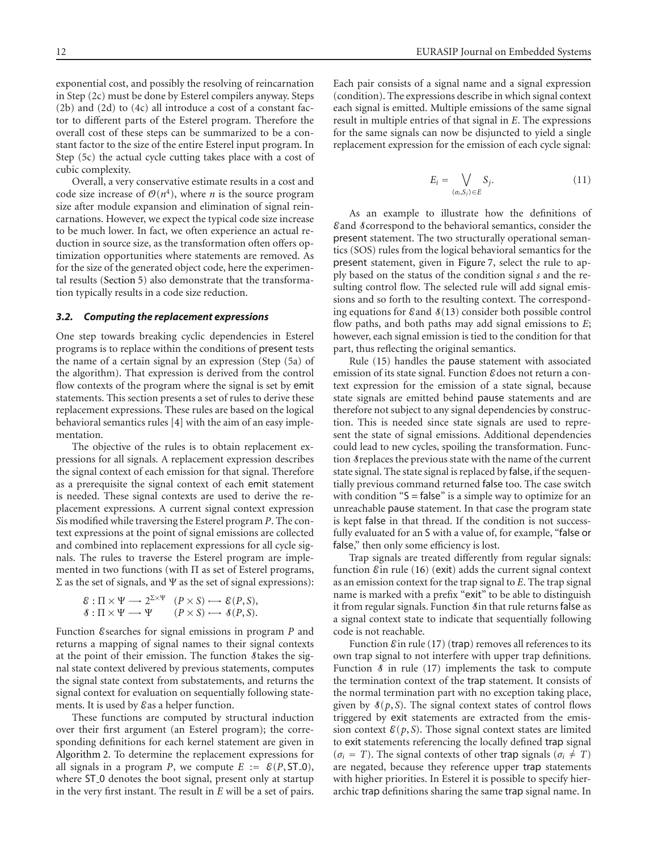exponential cost, and possibly the resolving of reincarnation in Step (2c) must be done by Esterel compilers anyway. Steps (2b) and (2d) to (4c) all introduce a cost of a constant factor to different parts of the Esterel program. Therefore the overall cost of these steps can be summarized to be a constant factor to the size of the entire Esterel input program. In Step (5c) the actual cycle cutting takes place with a cost of cubic complexity.

Overall, a very conservative estimate results in a cost and code size increase of  $O(n^4)$ , where *n* is the source program size after module expansion and elimination of signal reincarnations. However, we expect the typical code size increase to be much lower. In fact, we often experience an actual reduction in source size, as the transformation often offers optimization opportunities where statements are removed. As for the size of the generated object code, here the experimental results [\(Section 5\)](#page-18-0) also demonstrate that the transformation typically results in a code size reduction.

#### <span id="page-11-0"></span>*3.2. Computing the replacement expressions*

One step towards breaking cyclic dependencies in Esterel programs is to replace within the conditions of present tests the name of a certain signal by an expression (Step (5a) of the algorithm). That expression is derived from the control flow contexts of the program where the signal is set by emit statements. This section presents a set of rules to derive these replacement expressions. These rules are based on the logical behavioral semantics rules [\[4](#page-22-4)] with the aim of an easy implementation.

The objective of the rules is to obtain replacement expressions for all signals. A replacement expression describes the signal context of each emission for that signal. Therefore as a prerequisite the signal context of each emit statement is needed. These signal contexts are used to derive the replacement expressions. A current signal context expression *S*is modified while traversing the Esterel program *P*. The context expressions at the point of signal emissions are collected and combined into replacement expressions for all cycle signals. The rules to traverse the Esterel program are implemented in two functions (with  $\Pi$  as set of Esterel programs, Σ as the set of signals, and Ψ as the set of signal expressions):

$$
\mathcal{E} : \Pi \times \Psi \longrightarrow 2^{\Sigma \times \Psi} \quad (P \times S) \longrightarrow \mathcal{E}(P, S),
$$
  

$$
\mathcal{S} : \Pi \times \Psi \longrightarrow \Psi \quad (P \times S) \longrightarrow \mathcal{S}(P, S).
$$

Function Esearches for signal emissions in program *P* and returns a mapping of signal names to their signal contexts at the point of their emission. The function Stakes the signal state context delivered by previous statements, computes the signal state context from substatements, and returns the signal context for evaluation on sequentially following statements. It is used by Eas a helper function.

These functions are computed by structural induction over their first argument (an Esterel program); the corresponding definitions for each kernel statement are given in [Algorithm 2.](#page-12-0) To determine the replacement expressions for all signals in a program *P*, we compute  $E := \mathcal{E}(P, ST_0)$ , where ST<sub>-0</sub> denotes the boot signal, present only at startup in the very first instant. The result in *E* will be a set of pairs. Each pair consists of a signal name and a signal expression (condition). The expressions describe in which signal context each signal is emitted. Multiple emissions of the same signal result in multiple entries of that signal in *E*. The expressions for the same signals can now be disjuncted to yield a single replacement expression for the emission of each cycle signal:

$$
E_i = \bigvee_{\langle \sigma_i, S_j \rangle \in E} S_j.
$$
 (11)

As an example to illustrate how the definitions of Eand Scorrespond to the behavioral semantics, consider the present statement. The two structurally operational semantics (SOS) rules from the logical behavioral semantics for the present statement, given in [Figure 7,](#page-13-0) select the rule to apply based on the status of the condition signal *s* and the resulting control flow. The selected rule will add signal emissions and so forth to the resulting context. The corresponding equations for  $\mathcal{E}$  and  $\mathcal{S}(13)$  $\mathcal{S}(13)$  consider both possible control flow paths, and both paths may add signal emissions to *E*; however, each signal emission is tied to the condition for that part, thus reflecting the original semantics.

Rule [\(15\)](#page-12-2) handles the pause statement with associated emission of its state signal. Function E does not return a context expression for the emission of a state signal, because state signals are emitted behind pause statements and are therefore not subject to any signal dependencies by construction. This is needed since state signals are used to represent the state of signal emissions. Additional dependencies could lead to new cycles, spoiling the transformation. Function Sreplaces the previous state with the name of the current state signal. The state signal is replaced by false, if the sequentially previous command returned false too. The case switch with condition " $S = false$ " is a simple way to optimize for an unreachable pause statement. In that case the program state is kept false in that thread. If the condition is not successfully evaluated for an S with a value of, for example, "false or false," then only some efficiency is lost.

Trap signals are treated differently from regular signals: function  $\mathcal E$  in rule [\(16\)](#page-12-3) (exit) adds the current signal context as an emission context for the trap signal to *E*. The trap signal name is marked with a prefix "exit" to be able to distinguish it from regular signals. Function Sin that rule returns false as a signal context state to indicate that sequentially following code is not reachable.

Function  $\mathcal E$  in rule [\(17\)](#page-12-4) (trap) removes all references to its own trap signal to not interfere with upper trap definitions. Function  $\delta$  in rule [\(17\)](#page-12-4) implements the task to compute the termination context of the trap statement. It consists of the normal termination part with no exception taking place, given by  $\mathcal{S}(p, S)$ . The signal context states of control flows triggered by exit statements are extracted from the emission context  $\mathcal{E}(p, S)$ . Those signal context states are limited to exit statements referencing the locally defined trap signal  $(\sigma_i = T)$ . The signal contexts of other trap signals ( $\sigma_i \neq T$ ) are negated, because they reference upper trap statements with higher priorities. In Esterel it is possible to specify hierarchic trap definitions sharing the same trap signal name. In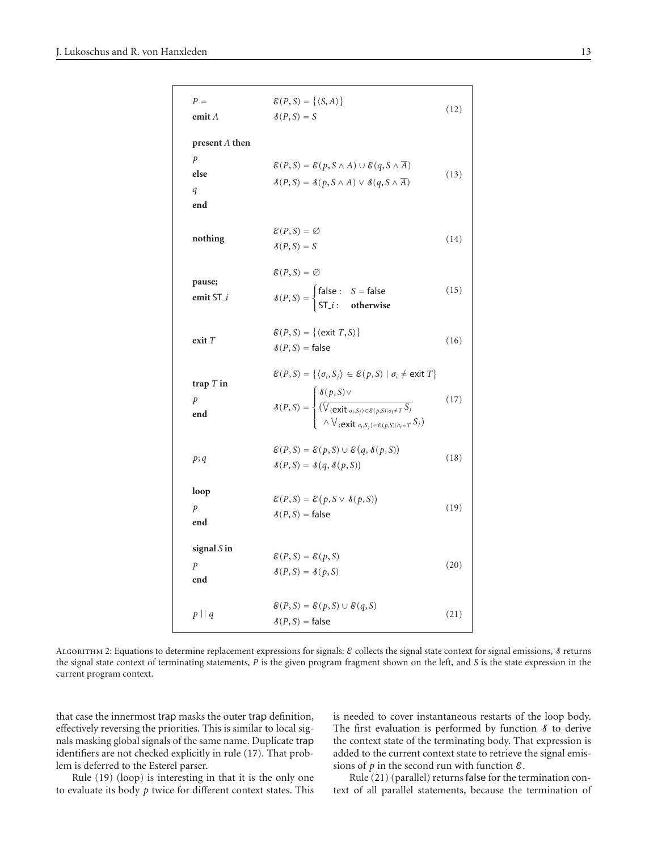<span id="page-12-3"></span><span id="page-12-2"></span><span id="page-12-1"></span>

| $P =$<br>$\mathbf{emit}\,A$                           | $\mathcal{E}(P,S) = \{ \langle S, A \rangle \}$<br>$\mathcal{S}(P,S)=S$                                                                                                                                                                                                                                                                                                                                   | (12) |
|-------------------------------------------------------|-----------------------------------------------------------------------------------------------------------------------------------------------------------------------------------------------------------------------------------------------------------------------------------------------------------------------------------------------------------------------------------------------------------|------|
| present $A$ then<br>$\mathcal{P}$<br>else<br>q<br>end | $\mathcal{E}(P, S) = \mathcal{E}(p, S \wedge A) \cup \mathcal{E}(q, S \wedge \overline{A})$<br>$\mathcal{S}(P, S) = \mathcal{S}(p, S \wedge A) \vee \mathcal{S}(q, S \wedge \overline{A})$                                                                                                                                                                                                                | (13) |
| nothing                                               | $\mathcal{E}(P,S)=\emptyset$<br>$\mathcal{S}(P,S)=S$                                                                                                                                                                                                                                                                                                                                                      | (14) |
| pause;<br>emit ST_i                                   | $\mathscr{E}(P,S)=\emptyset$<br>$\mathcal{S}(P,S) = \begin{cases} \text{false}: & S = \text{false} \\ \text{ST}_i: & \text{otherwise} \end{cases}$                                                                                                                                                                                                                                                        | (15) |
| exit T                                                | $\mathcal{E}(P,S) = \{ \langle \text{exit } T, S \rangle \}$<br>$\mathcal{S}(P, S) =$ false                                                                                                                                                                                                                                                                                                               | (16) |
| trap $T$ in<br>$\mathcal{P}$<br>end                   | $\mathcal{E}(P, S) = \{ \langle \sigma_i, S_j \rangle \in \mathcal{E}(p, S) \mid \sigma_i \neq \text{exit } T \}$<br>$\mathcal{S}(P,S) = \begin{cases} \mathcal{S}(p,S) \vee \\ \frac{\left(\bigvee_{\{\textbf{exit}\ \sigma_i, S_j\} \in \mathcal{E}(p,S)   \sigma_i \neq T} S_j\right)}{\bigwedge \bigvee_{\{\textbf{exit}\ \sigma_i, S_j\} \in \mathcal{E}(p,S)   \sigma_i = T} S_j\big)} \end{cases}$ | (17) |
| p; q                                                  | $\mathcal{E}(P, S) = \mathcal{E}(p, S) \cup \mathcal{E}(q, \mathcal{S}(p, S))$<br>$\mathcal{S}(P, S) = \mathcal{S}(q, \mathcal{S}(p, S))$                                                                                                                                                                                                                                                                 | (18) |
| loop<br>$\mathcal{P}$<br>end                          | $\mathcal{E}(P, S) = \mathcal{E}(p, S \vee \mathcal{S}(p, S))$<br>$\mathcal{S}(P, S) =$ false                                                                                                                                                                                                                                                                                                             | (19) |
| signal $S$ in<br>$\mathcal{P}$<br>end                 | $\mathcal{E}(P, S) = \mathcal{E}(p, S)$<br>$\mathcal{S}(P,S) = \mathcal{S}(p,S)$                                                                                                                                                                                                                                                                                                                          | (20) |
| $p \mid q$                                            | $\mathcal{E}(P, S) = \mathcal{E}(p, S) \cup \mathcal{E}(q, S)$<br>$\mathcal{S}(P, S) =$ false                                                                                                                                                                                                                                                                                                             | (21) |

<span id="page-12-0"></span>ALGORITHM 2: Equations to determine replacement expressions for signals:  $\varepsilon$  collects the signal state context for signal emissions,  $\delta$  returns the signal state context of terminating statements, *P* is the given program fragment shown on the left, and *S* is the state expression in the current program context.

that case the innermost trap masks the outer trap definition, effectively reversing the priorities. This is similar to local signals masking global signals of the same name. Duplicate trap identifiers are not checked explicitly in rule [\(17\)](#page-12-4). That problem is deferred to the Esterel parser.

Rule [\(19\)](#page-12-5) (loop) is interesting in that it is the only one to evaluate its body *p* twice for different context states. This <span id="page-12-6"></span><span id="page-12-5"></span><span id="page-12-4"></span>is needed to cover instantaneous restarts of the loop body. The first evaluation is performed by function  $\delta$  to derive the context state of the terminating body. That expression is added to the current context state to retrieve the signal emissions of  $p$  in the second run with function  $\varepsilon$ .

Rule [\(21\)](#page-12-6) (parallel) returns false for the termination context of all parallel statements, because the termination of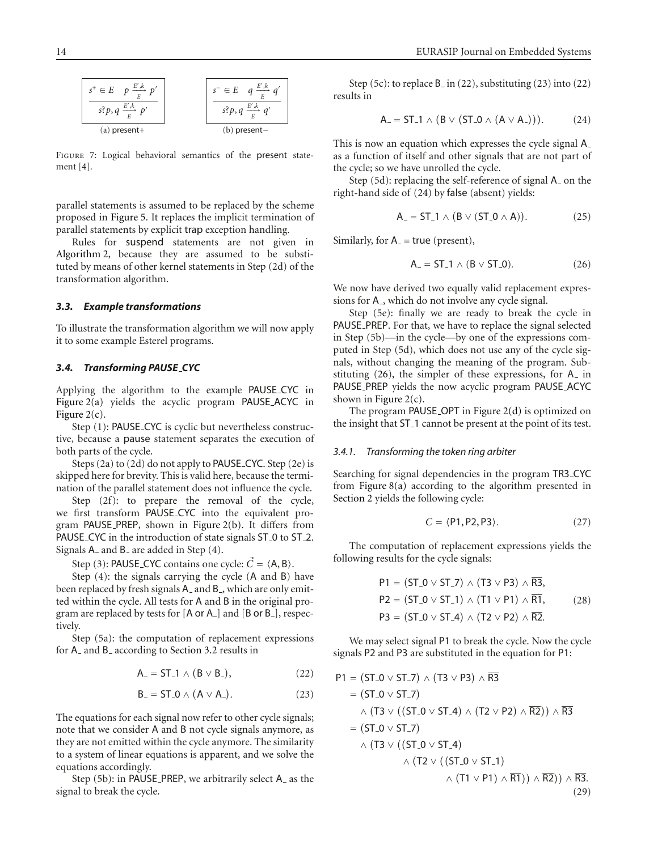

<span id="page-13-0"></span>FIGURE 7: Logical behavioral semantics of the present statement [\[4\]](#page-22-4).

parallel statements is assumed to be replaced by the scheme proposed in [Figure 5.](#page-9-0) It replaces the implicit termination of parallel statements by explicit trap exception handling.

Rules for suspend statements are not given in [Algorithm 2,](#page-12-0) because they are assumed to be substituted by means of other kernel statements in Step (2d) of the transformation algorithm.

## *3.3. Example transformations*

To illustrate the transformation algorithm we will now apply it to some example Esterel programs.

#### *3.4. Transforming PAUSE CYC*

Applying the algorithm to the example PAUSE CYC in [Figure 2\(a\)](#page-2-0) yields the acyclic program PAUSE ACYC in Figure  $2(c)$ .

Step (1): PAUSE\_CYC is cyclic but nevertheless constructive, because a pause statement separates the execution of both parts of the cycle.

Steps (2a) to (2d) do not apply to PAUSE CYC. Step (2e) is skipped here for brevity. This is valid here, because the termination of the parallel statement does not influence the cycle.

Step (2f): to prepare the removal of the cycle, we first transform PAUSE CYC into the equivalent program PAUSE PREP, shown in [Figure 2\(b\).](#page-2-4) It differs from PAUSE\_CYC in the introduction of state signals ST\_0 to ST\_2. Signals A\_and B\_are added in Step (4).

Step (3): **PAUSE\_CYC** contains one cycle:  $\vec{C} = \langle A, B \rangle$ .

Step (4): the signals carrying the cycle (A and B) have been replaced by fresh signals A\_ and B\_, which are only emitted within the cycle. All tests for A and B in the original program are replaced by tests for [A or A<sub>-</sub>] and [B or B<sub>-</sub>], respectively.

Step (5a): the computation of replacement expressions for A<sub>-</sub> and B<sub>-</sub> according to [Section 3.2](#page-11-0) results in

<span id="page-13-2"></span><span id="page-13-1"></span>
$$
A_{-} = ST_{-}1 \wedge (B \vee B_{-}), \qquad (22)
$$

$$
B_{-} = ST_{-}0 \wedge (A \vee A_{-}). \qquad (23)
$$

The equations for each signal now refer to other cycle signals; note that we consider A and B not cycle signals anymore, as they are not emitted within the cycle anymore. The similarity to a system of linear equations is apparent, and we solve the equations accordingly.

Step (5b): in PAUSE\_PREP, we arbitrarily select A\_as the signal to break the cycle.

Step (5c): to replace  $B$  in [\(22\)](#page-13-1), substituting [\(23\)](#page-13-2) into (22) results in

<span id="page-13-3"></span>
$$
A_{-} = ST_{-}1 \wedge (B \vee (ST_{-}0 \wedge (A \vee A_{-}))). \qquad (24)
$$

This is now an equation which expresses the cycle signal A as a function of itself and other signals that are not part of the cycle; so we have unrolled the cycle.

Step (5d): replacing the self-reference of signal A on the right-hand side of [\(24\)](#page-13-3) by false (absent) yields:

$$
A_{-} = ST_{-}1 \wedge (B \vee (ST_{-}0 \wedge A)). \tag{25}
$$

Similarly, for  $A$  = true (present),

<span id="page-13-4"></span>
$$
A_{-} = ST_{-}1 \wedge (B \vee ST_{-}0). \qquad (26)
$$

We now have derived two equally valid replacement expressions for A<sub>-</sub>, which do not involve any cycle signal.

Step (5e): finally we are ready to break the cycle in PAUSE PREP. For that, we have to replace the signal selected in Step (5b)—in the cycle—by one of the expressions computed in Step (5d), which does not use any of the cycle signals, without changing the meaning of the program. Substituting [\(26\)](#page-13-4), the simpler of these expressions, for A in PAUSE PREP yields the now acyclic program PAUSE ACYC shown in Figure  $2(c)$ .

The program PAUSE OPT in [Figure 2\(d\)](#page-2-2) is optimized on the insight that ST 1 cannot be present at the point of its test.

#### *3.4.1. Transforming the token ring arbiter*

Searching for signal dependencies in the program TR3 CYC from [Figure 8\(a\)](#page-14-1) according to the algorithm presented in [Section 2](#page-4-0) yields the following cycle:

$$
C = \langle P1, P2, P3 \rangle. \tag{27}
$$

The computation of replacement expressions yields the following results for the cycle signals:

$$
P1 = (ST_0 \vee ST_7) \wedge (T3 \vee P3) \wedge \overline{R3},
$$
  
\n
$$
P2 = (ST_0 \vee ST_1) \wedge (T1 \vee P1) \wedge \overline{R1},
$$
  
\n
$$
P3 = (ST_0 \vee ST_4) \wedge (T2 \vee P2) \wedge \overline{R2}.
$$
  
\n(28)

We may select signal P1 to break the cycle. Now the cycle signals P2 and P3 are substituted in the equation for P1:

<span id="page-13-5"></span>
$$
P1 = (ST_0 \vee ST_7) \wedge (T3 \vee P3) \wedge \overline{R3}
$$
  
= (ST\_0 \vee ST\_7)  

$$
\wedge (T3 \vee ((ST_0 \vee ST_4) \wedge (T2 \vee P2) \wedge \overline{R2})) \wedge \overline{R3}
$$
  
= (ST\_0 \vee ST\_7)  

$$
\wedge (T3 \vee ((ST_0 \vee ST_4) \wedge (T2 \vee ((ST_0 \vee ST_1) \wedge \overline{R1})) \wedge \overline{R2})) \wedge \overline{R3}.
$$
  
(29)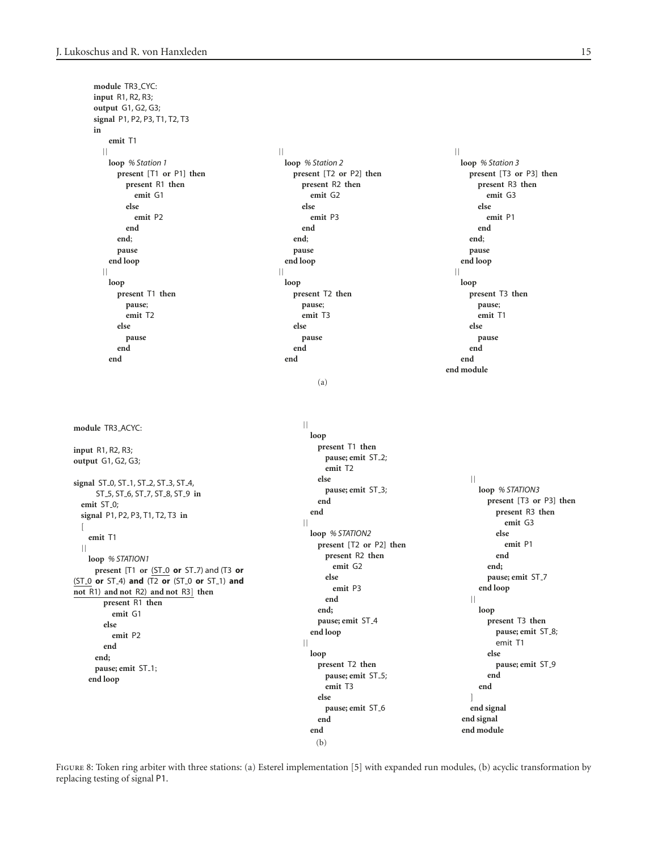```
module TR3 CYC:
  input R1, R2, R3;
  output G1, G2, G3;
  signal P1, P2, P3, T1, T2, T3
  in
     emit T1
    || || ||
    loop % Station 1 loop % Station 2 loop % Station 3
      present [T1 or P1] then present [T2 or P2] then present [T3 or P3] then
       present R1 then present R2 then present R3 then
        emit G1 emit G2 emit G3
       else else else
        emit P2 emit P3 emit P1
       end end end
      end; end; end;
      pause pause pause
     end loop end loop end loop
    || || ||
     loop loop loop
      present T1 then present T2 then present T3 then
       pause; pause; pause;
       emit T2 emit T3 emit T1
      else else else
       pause pause pause
      end end end
     end end end
                                                   end module
                                  (a)
module TR3 ACYC:
input R1, R2, R3;
output G1, G2, G3;
signal ST 0, ST 1, ST 2, ST 3, ST 4,
   ST 5, ST 6, ST 7, ST 8, ST 9 in
 emit ST 0;
 signal P1, P2, P3, T1, T2, T3 in
 \sqrt{ }emit T1
 ||
  loop % STATION1
   present [T1 or (ST 0 or ST 7) and (T3 or
(ST 0 or ST 4) and (T2 or (ST 0 or ST 1) and
not R1) and not R2) and not R3] then
    present R1 then
     emit G1
    else
     emit P2
    end
   end;
   pause; emit ST 1;
  end loop
                                \vert\vertloop
                                  present T1 then
                                   pause; emit ST<sub>-2</sub>;
                                   emit T2
                                  else
                                   pause; emit ST<sub>-3</sub>;
                                  end
                                 end
                                ||
                                 loop % STATION2
                                  present [T2 or P2] then
                                   present R2 then
                                    emit G2
                                   else
                                    emit P3
                                   end
                                  end;
                                  pause; emit ST_4
                                 end loop
                               \vert\vertloop
                                  present T2 then
                                   pause; emit ST<sub>-5</sub>;
                                   emit T3
                                  else
                                   pause; emit ST<sub>-6</sub>
                                  end
                                 end
                                                       ||
                                                        loop % STATION3
                                                         present [T3 or P3] then
                                                          present R3 then
                                                            emit G3
                                                           else
                                                            emit P1
                                                           end
                                                         end;
                                                         pause; emit ST 7
                                                        end loop
                                                       \vert\vertloop
                                                         present T3 then
                                                          pause; emit ST<sub>-8</sub>;
                                                           emit T1
                                                         else
                                                          pause; emit ST 9
                                                         end
                                                        end
                                                       ]
                                                       end signal
                                                      end signal
                                                      end module
```
<span id="page-14-0"></span>FIGURE 8: Token ring arbiter with three stations: (a) Esterel implementation [\[5](#page-22-5)] with expanded run modules, (b) acyclic transformation by replacing testing of signal P1.

(b)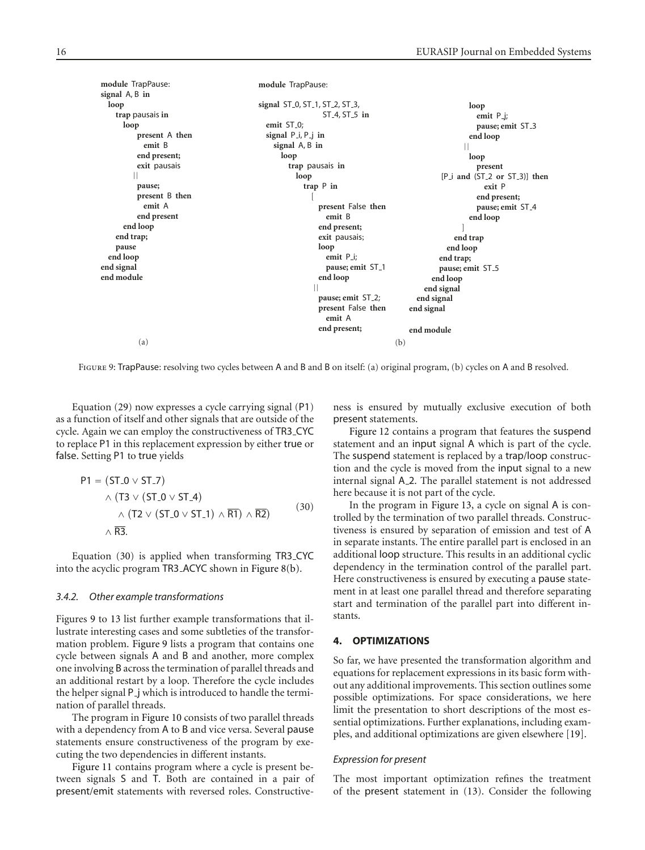| loop                          |
|-------------------------------|
| emit $P_{-j}$ ;               |
| pause; emit ST_3              |
| end loop                      |
|                               |
| loop                          |
| present                       |
| [P i and (ST 2 or ST 3)] then |
| exit P                        |
| end present;                  |
| pause; emit ST_4              |
| end loop                      |
|                               |
| end trap                      |
| end loop                      |
| end trap;                     |
| pause; emit ST_5              |
| end loop                      |
| end signal                    |
| end signal                    |
|                               |
|                               |
| end module                    |
|                               |
|                               |

FIGURE 9: TrapPause: resolving two cycles between A and B and B on itself: (a) original program, (b) cycles on A and B resolved.

<span id="page-15-2"></span>Equation [\(29\)](#page-13-5) now expresses a cycle carrying signal (P1) as a function of itself and other signals that are outside of the cycle. Again we can employ the constructiveness of TR3 CYC to replace P1 in this replacement expression by either true or false. Setting P1 to true yields

$$
PI = (ST_0 \vee ST_7)
$$
  
\n
$$
\wedge (T3 \vee (ST_0 \vee ST_4))
$$
  
\n
$$
\wedge (T2 \vee (ST_0 \vee ST_1) \wedge \overline{RT}) \wedge \overline{R2})
$$
  
\n
$$
\wedge \overline{R3}.
$$
 (30)

Equation [\(30\)](#page-15-1) is applied when transforming TR3 CYC into the acyclic program TR3 ACYC shown in [Figure 8\(b\).](#page-14-2)

#### <span id="page-15-3"></span>*3.4.2. Other example transformations*

Figures [9](#page-15-2) to [13](#page-18-1) list further example transformations that illustrate interesting cases and some subtleties of the transformation problem. [Figure 9](#page-15-2) lists a program that contains one cycle between signals A and B and another, more complex one involving B across the termination of parallel threads and an additional restart by a loop. Therefore the cycle includes the helper signal P j which is introduced to handle the termination of parallel threads.

The program in [Figure 10](#page-16-0) consists of two parallel threads with a dependency from A to B and vice versa. Several pause statements ensure constructiveness of the program by executing the two dependencies in different instants.

[Figure 11](#page-16-1) contains program where a cycle is present between signals S and T. Both are contained in a pair of present/emit statements with reversed roles. Constructiveness is ensured by mutually exclusive execution of both present statements.

[Figure 12](#page-17-0) contains a program that features the suspend statement and an input signal A which is part of the cycle. The suspend statement is replaced by a trap/loop construction and the cycle is moved from the input signal to a new internal signal A<sub>-2</sub>. The parallel statement is not addressed here because it is not part of the cycle.

<span id="page-15-1"></span>In the program in [Figure 13,](#page-18-1) a cycle on signal A is controlled by the termination of two parallel threads. Constructiveness is ensured by separation of emission and test of A in separate instants. The entire parallel part is enclosed in an additional loop structure. This results in an additional cyclic dependency in the termination control of the parallel part. Here constructiveness is ensured by executing a pause statement in at least one parallel thread and therefore separating start and termination of the parallel part into different instants.

## <span id="page-15-0"></span>**4. OPTIMIZATIONS**

So far, we have presented the transformation algorithm and equations for replacement expressions in its basic form without any additional improvements. This section outlines some possible optimizations. For space considerations, we here limit the presentation to short descriptions of the most essential optimizations. Further explanations, including examples, and additional optimizations are given elsewhere [\[19](#page-22-19)].

#### *Expression for present*

The most important optimization refines the treatment of the present statement in [\(13\)](#page-12-1). Consider the following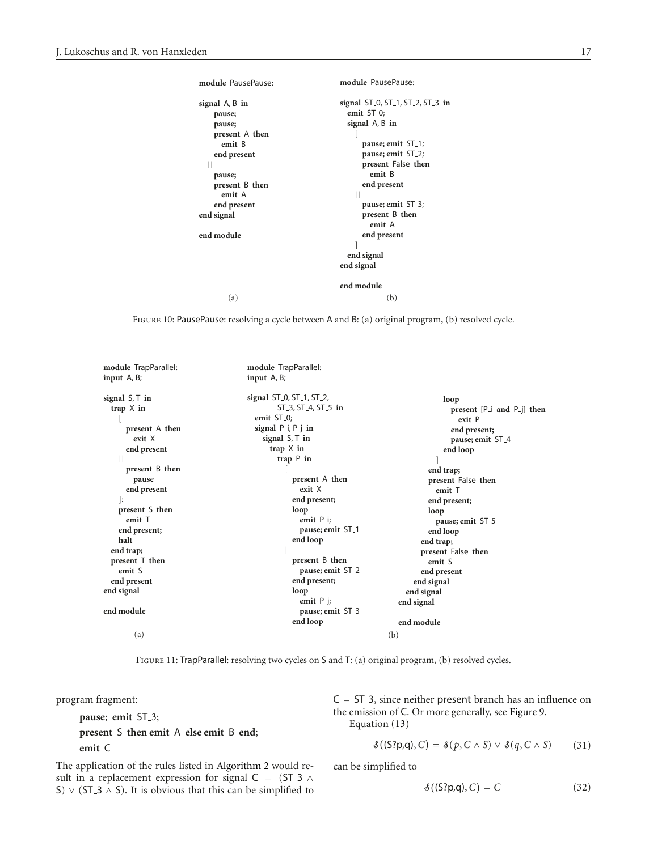| module PausePause:                                             | module PausePause:                                                                                              |  |
|----------------------------------------------------------------|-----------------------------------------------------------------------------------------------------------------|--|
| signal A, B in<br>pause;<br>pause;<br>present A then<br>emit B | signal ST 0, ST 1, ST 2, ST 3 in<br>emit ST <sub>-0</sub> ;<br>signal A, B in<br>pause; emit ST <sub>-1</sub> ; |  |
|                                                                | pause; emit ST <sub>-2</sub> ;                                                                                  |  |
| end present<br>Н                                               | present False then                                                                                              |  |
| pause;                                                         | emit B                                                                                                          |  |
| present B then                                                 | end present                                                                                                     |  |
| emit A                                                         | Ш                                                                                                               |  |
| end present                                                    | pause; emit ST_3;                                                                                               |  |
| end signal                                                     | present B then                                                                                                  |  |
|                                                                | emit A                                                                                                          |  |
| end module                                                     | end present                                                                                                     |  |
|                                                                | end signal<br>end signal                                                                                        |  |
|                                                                | end module                                                                                                      |  |
| (a)                                                            | (b)                                                                                                             |  |

<span id="page-16-0"></span>Figure 10: PausePause: resolving a cycle between A and B: (a) original program, (b) resolved cycle.

| module TrapParallel: | module TrapParallel:                                            |                                  |
|----------------------|-----------------------------------------------------------------|----------------------------------|
| input $A, B$ ;       | input A, B;                                                     |                                  |
|                      |                                                                 |                                  |
| signal $S$ , $T$ in  | signal ST <sub>-0</sub> , ST <sub>-1</sub> , ST <sub>-2</sub> , | loop                             |
| trap $X$ in          | ST_3, ST_4, ST_5 in                                             | present $[P_i]$ and $P_j$ ] then |
|                      | emit ST <sub>-0</sub> ;                                         | exit P                           |
| present A then       | signal $P_i, P_j$ in                                            | end present;                     |
| exit X               | signal $S$ , $T$ in                                             | pause; emit ST <sub>-4</sub>     |
| end present          | trap $X$ in                                                     | end loop                         |
|                      | trap $P$ in                                                     |                                  |
| present B then       |                                                                 | end trap;                        |
| pause                | present A then                                                  | present False then               |
| end present          | exit X                                                          | emit T                           |
| $\vert$ ;            | end present;                                                    | end present;                     |
| present S then       | loop                                                            | loop                             |
| emit T               | emit P_i:                                                       | pause; emit ST_5                 |
| end present;         | pause; emit ST_1                                                | end loop                         |
| halt                 | end loop                                                        | end trap;                        |
| end trap;            |                                                                 | present False then               |
| present T then       | present B then                                                  | emit S                           |
| emit S               | pause; emit ST_2                                                | end present                      |
| end present          | end present;                                                    | end signal                       |
| end signal           | loop                                                            | end signal                       |
|                      | emit $P_{i}$ ;                                                  | end signal                       |
| end module           | pause; emit ST_3                                                |                                  |
|                      | end loop                                                        | end module                       |
| (a)                  |                                                                 | (b)                              |

<span id="page-16-1"></span>FIGURE 11: TrapParallel: resolving two cycles on S and T: (a) original program, (b) resolved cycles.

program fragment:

**pause**; **emit** ST 3; **present** S **then emit** A **else emit** B **end**; **emit** C

The application of the rules listed in [Algorithm 2](#page-12-0) would result in a replacement expression for signal C = (ST\_3  $\land$ S)  $\vee$  (ST\_3  $\wedge$   $\overline{S}$ ). It is obvious that this can be simplified to  $C = ST_3$ , since neither present branch has an influence on the emission of C. Or more generally, see [Figure 9.](#page-15-2) Equation [\(13\)](#page-12-1)

$$
\mathcal{S}((S?p,q), C) = \mathcal{S}(p, C \wedge S) \vee \mathcal{S}(q, C \wedge \overline{S})
$$
 (31)

can be simplified to

$$
\mathcal{S}((S?p,q), C) = C \tag{32}
$$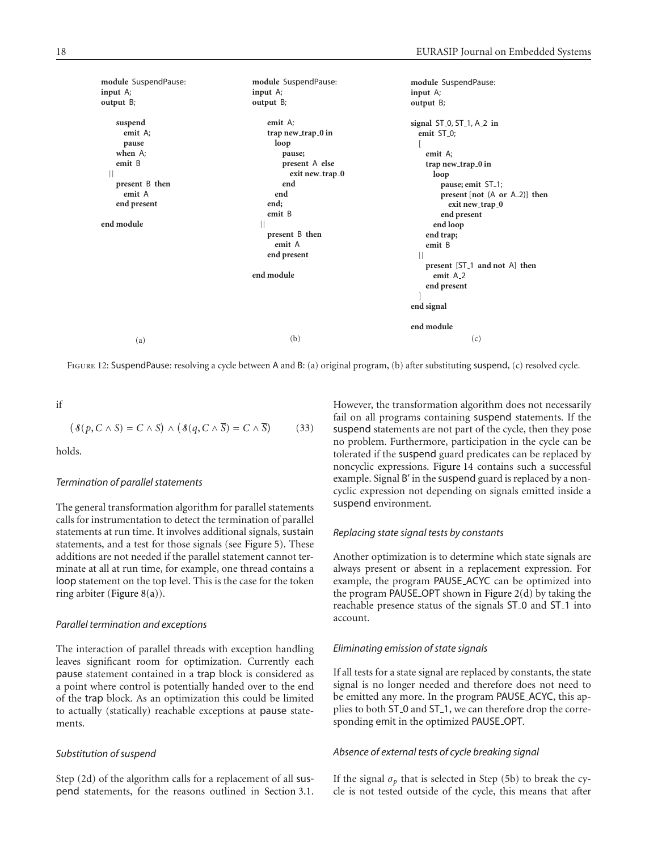| module SuspendPause:                       |
|--------------------------------------------|
|                                            |
|                                            |
| signal $ST_0, ST_1, A_2$ in                |
|                                            |
|                                            |
|                                            |
| trap new trap 0 in                         |
|                                            |
| pause; emit ST <sub>-1</sub> ;             |
| present [not (A or A_2)] then              |
| exit new_trap_0                            |
| end present                                |
| end loop                                   |
|                                            |
|                                            |
|                                            |
| present [ST <sub>1</sub> ] and not A] then |
| emit A <sub>-2</sub>                       |
| end present                                |
|                                            |
|                                            |
|                                            |
| (c)                                        |
| end trap;                                  |

<span id="page-17-0"></span>Figure 12: SuspendPause: resolving a cycle between A and B: (a) original program, (b) after substituting suspend, (c) resolved cycle.

if

$$
(\mathcal{S}(p, C \wedge S) = C \wedge S) \wedge (\mathcal{S}(q, C \wedge \overline{S}) = C \wedge \overline{S}) \tag{33}
$$

holds.

#### *Termination of parallel statements*

The general transformation algorithm for parallel statements calls for instrumentation to detect the termination of parallel statements at run time. It involves additional signals, sustain statements, and a test for those signals (see [Figure 5\)](#page-9-0). These additions are not needed if the parallel statement cannot terminate at all at run time, for example, one thread contains a loop statement on the top level. This is the case for the token ring arbiter [\(Figure 8\(a\)\)](#page-14-1).

#### *Parallel termination and exceptions*

The interaction of parallel threads with exception handling leaves significant room for optimization. Currently each pause statement contained in a trap block is considered as a point where control is potentially handed over to the end of the trap block. As an optimization this could be limited to actually (statically) reachable exceptions at pause statements.

## *Substitution of suspend*

Step (2d) of the algorithm calls for a replacement of all suspend statements, for the reasons outlined in [Section 3.1.](#page-7-2) However, the transformation algorithm does not necessarily fail on all programs containing suspend statements. If the suspend statements are not part of the cycle, then they pose no problem. Furthermore, participation in the cycle can be tolerated if the suspend guard predicates can be replaced by noncyclic expressions. [Figure 14](#page-19-0) contains such a successful example. Signal B' in the suspend guard is replaced by a noncyclic expression not depending on signals emitted inside a suspend environment.

#### *Replacing state signal tests by constants*

Another optimization is to determine which state signals are always present or absent in a replacement expression. For example, the program PAUSE ACYC can be optimized into the program PAUSE OPT shown in Figure  $2(d)$  by taking the reachable presence status of the signals ST 0 and ST 1 into account.

#### *Eliminating emission of state signals*

If all tests for a state signal are replaced by constants, the state signal is no longer needed and therefore does not need to be emitted any more. In the program PAUSE ACYC, this applies to both ST 0 and ST 1, we can therefore drop the corresponding emit in the optimized PAUSE OPT.

## *Absence of external tests of cycle breaking signal*

If the signal  $\sigma_p$  that is selected in Step (5b) to break the cycle is not tested outside of the cycle, this means that after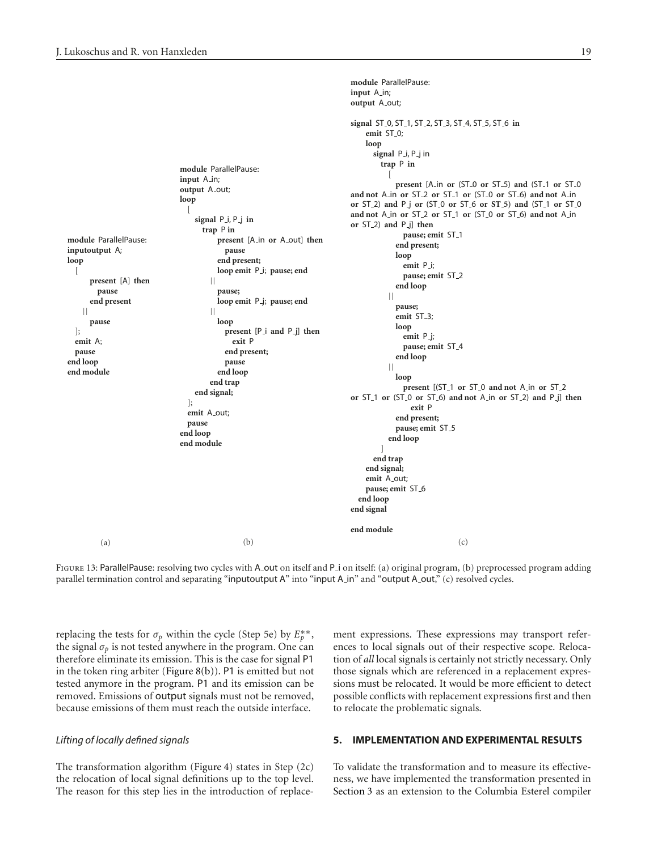**module** ParallelPause: **inputoutput** A; **loop** [ **present** [A] **then pause end present** || **pause** ]; **emit** A; **pause end loop end module** (a) **module** ParallelPause: **input** A\_in; **output** A out; **loop** [ **signal** P i, P j **in trap** P **in present** [A in **or** A out] **then pause end present; loop emit** P i; **pause; end** || **pause; loop emit** P j; **pause; end** || **loop present** [P i **and** P j] **then exit** P **end present; pause end loop end trap end signal;**  $\vert$ ; **emit** A out; **pause end loop end module** (b) **output** A out; **signal** ST 0, ST 1, ST 2, ST 3, ST 4, ST 5, ST 6 **in** emit ST<sub>-0</sub>; **loop signal** P i, P j in **trap** P **in present** [A in **or** (ST 0 **or** ST 5) **and** (ST 1 **or** ST 0 **and not** A in **or** ST 2 **or** ST 1 **or** (ST 0 **or** ST 6) **and not** A in **or** ST 2) **and** P j **or** (ST 0 **or** ST 6 **or ST 5) and** (ST 1 **or** ST 0 **and not** A in **or** ST 2 **or** ST 1 **or** (ST 0 **or** ST 6) **and not** A in **or** ST 2) **and** P j] **then pause; emit** ST 1 **end present; loop emit** P i; pause; emit ST\_2 **end loop** || **pause; emit** ST 3; **loop emit** P j; **pause; emit** ST 4 **end loop** || **loop present** [(ST 1 **or** ST 0 **and not** A in **or** ST 2 **or** ST 1 **or** (ST 0 **or** ST 6) **and not** A in **or** ST 2) **and** P j] **then exit** P **end present; pause; emit** ST 5 **end loop** ] **end trap end signal; emit** A out; **pause; emit** ST 6 **end loop end signal end module** (c)

**module** ParallelPause:

**input** A in;

<span id="page-18-1"></span>FIGURE 13: ParallelPause: resolving two cycles with A out on itself and P i on itself: (a) original program, (b) preprocessed program adding parallel termination control and separating "inputoutput A" into "input A\_in" and "output A\_out," (c) resolved cycles.

replacing the tests for  $\sigma_p$  within the cycle (Step 5e) by  $E_p^{**}$ , the signal  $\sigma_p$  is not tested anywhere in the program. One can therefore eliminate its emission. This is the case for signal P1 in the token ring arbiter [\(Figure 8\(b\)\)](#page-14-2). P1 is emitted but not tested anymore in the program. P1 and its emission can be removed. Emissions of output signals must not be removed, because emissions of them must reach the outside interface.

#### *Lifting of locally defined signals*

The transformation algorithm [\(Figure 4\)](#page-7-1) states in Step (2c) the relocation of local signal definitions up to the top level. The reason for this step lies in the introduction of replacement expressions. These expressions may transport references to local signals out of their respective scope. Relocation of *all* local signals is certainly not strictly necessary. Only those signals which are referenced in a replacement expressions must be relocated. It would be more efficient to detect possible conflicts with replacement expressions first and then to relocate the problematic signals.

## <span id="page-18-0"></span>**5. IMPLEMENTATION AND EXPERIMENTAL RESULTS**

To validate the transformation and to measure its effectiveness, we have implemented the transformation presented in [Section 3](#page-7-0) as an extension to the Columbia Esterel compiler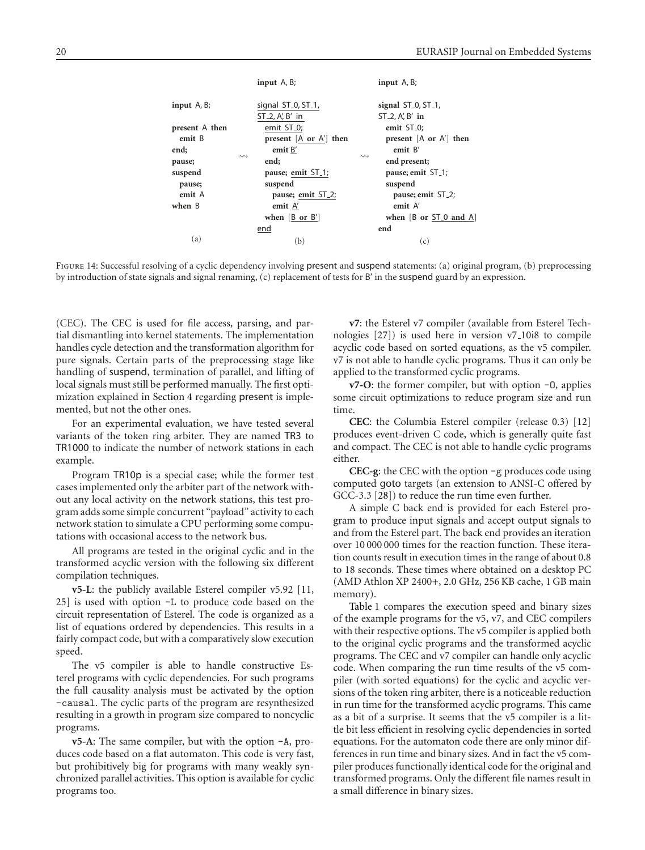|                | input $A, B$ ;                                                                                                  | input A, B;                                |  |  |
|----------------|-----------------------------------------------------------------------------------------------------------------|--------------------------------------------|--|--|
|                |                                                                                                                 |                                            |  |  |
| input $A, B$ ; | signal ST 0, ST 1,                                                                                              | signal $ST_0, ST_1$ ,                      |  |  |
|                | $ST_2$ , A', B' in                                                                                              | $ST_2$ , A', B' in                         |  |  |
| present A then | emit ST <sub>-0</sub> ;                                                                                         | emit ST <sub>-0</sub> ;                    |  |  |
| emit B         | present $[A \text{ or } A']$ then                                                                               | present $[A \text{ or } A']$ then          |  |  |
| end;           | emit $B'$                                                                                                       | emit B'                                    |  |  |
| pause;         | $\rightsquigarrow$<br>end:                                                                                      | $\rightsquigarrow$<br>end present;         |  |  |
| suspend        | pause; emit ST <sub>-1</sub> ;                                                                                  | pause; emit ST <sub>-1</sub> ;             |  |  |
| pause;         | suspend                                                                                                         | suspend                                    |  |  |
| emit A         | pause; emit ST_2;                                                                                               | pause; emit ST_2;                          |  |  |
| when B         | emit A'                                                                                                         | emit A                                     |  |  |
|                | when $\left[\begin{array}{cc} B \\ C \end{array}\right]$ or $\left[\begin{array}{c} B' \\ C \end{array}\right]$ | when $[B \text{ or } ST_0 \text{ and } A]$ |  |  |
|                | end                                                                                                             | end                                        |  |  |
| (a)            | (b)                                                                                                             | (c)                                        |  |  |

<span id="page-19-0"></span>FIGURE 14: Successful resolving of a cyclic dependency involving present and suspend statements: (a) original program, (b) preprocessing by introduction of state signals and signal renaming, (c) replacement of tests for B' in the suspend guard by an expression.

(CEC). The CEC is used for file access, parsing, and partial dismantling into kernel statements. The implementation handles cycle detection and the transformation algorithm for pure signals. Certain parts of the preprocessing stage like handling of suspend, termination of parallel, and lifting of local signals must still be performed manually. The first optimization explained in [Section 4](#page-15-0) regarding present is implemented, but not the other ones.

For an experimental evaluation, we have tested several variants of the token ring arbiter. They are named TR3 to TR1000 to indicate the number of network stations in each example.

Program TR10p is a special case; while the former test cases implemented only the arbiter part of the network without any local activity on the network stations, this test program adds some simple concurrent "payload" activity to each network station to simulate a CPU performing some computations with occasional access to the network bus.

All programs are tested in the original cyclic and in the transformed acyclic version with the following six different compilation techniques.

**v5-L**: the publicly available Esterel compiler v5.92 [\[11,](#page-22-11) [25\]](#page-22-25) is used with option -L to produce code based on the circuit representation of Esterel. The code is organized as a list of equations ordered by dependencies. This results in a fairly compact code, but with a comparatively slow execution speed.

The v5 compiler is able to handle constructive Esterel programs with cyclic dependencies. For such programs the full causality analysis must be activated by the option -causal. The cyclic parts of the program are resynthesized resulting in a growth in program size compared to noncyclic programs.

**v5-A**: The same compiler, but with the option -A, produces code based on a flat automaton. This code is very fast, but prohibitively big for programs with many weakly synchronized parallel activities. This option is available for cyclic programs too.

**v7**: the Esterel v7 compiler (available from Esterel Technologies [\[27\]](#page-22-27)) is used here in version v7 10i8 to compile acyclic code based on sorted equations, as the v5 compiler. v7 is not able to handle cyclic programs. Thus it can only be applied to the transformed cyclic programs.

**v7-O**: the former compiler, but with option -O, applies some circuit optimizations to reduce program size and run time.

**CEC**: the Columbia Esterel compiler (release 0.3) [\[12\]](#page-22-12) produces event-driven C code, which is generally quite fast and compact. The CEC is not able to handle cyclic programs either.

**CEC-g**: the CEC with the option -g produces code using computed goto targets (an extension to ANSI-C offered by GCC-3.3 [\[28](#page-22-28)]) to reduce the run time even further.

A simple C back end is provided for each Esterel program to produce input signals and accept output signals to and from the Esterel part. The back end provides an iteration over 10 000 000 times for the reaction function. These iteration counts result in execution times in the range of about 0.8 to 18 seconds. These times where obtained on a desktop PC (AMD Athlon XP 2400+, 2.0 GHz, 256 KB cache, 1 GB main memory).

[Table 1](#page-20-1) compares the execution speed and binary sizes of the example programs for the v5, v7, and CEC compilers with their respective options. The v5 compiler is applied both to the original cyclic programs and the transformed acyclic programs. The CEC and v7 compiler can handle only acyclic code. When comparing the run time results of the v5 compiler (with sorted equations) for the cyclic and acyclic versions of the token ring arbiter, there is a noticeable reduction in run time for the transformed acyclic programs. This came as a bit of a surprise. It seems that the v5 compiler is a little bit less efficient in resolving cyclic dependencies in sorted equations. For the automaton code there are only minor differences in run time and binary sizes. And in fact the v5 compiler produces functionally identical code for the original and transformed programs. Only the different file names result in a small difference in binary sizes.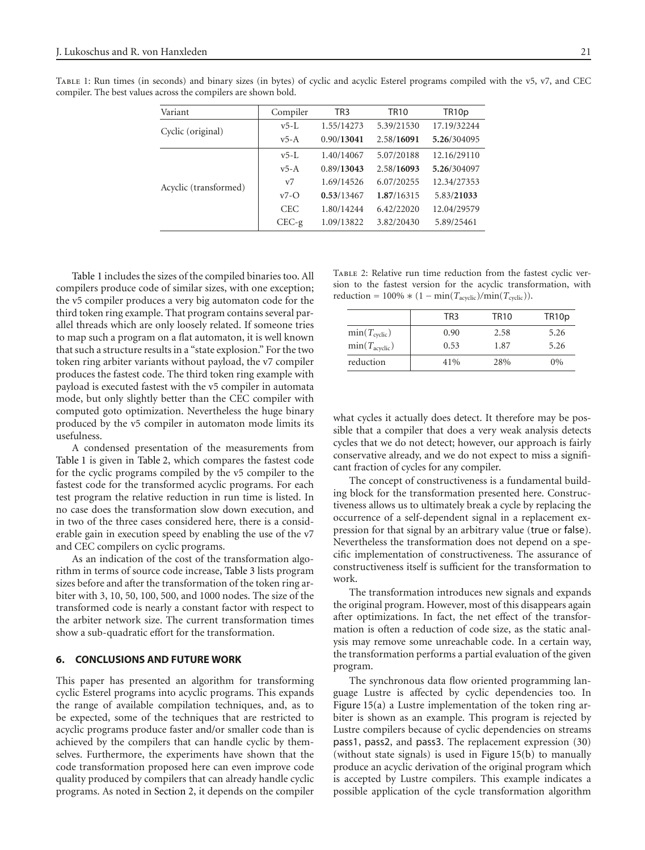| Variant               | Compiler       | TR3        | <b>TR10</b> | TR <sub>10</sub> p |
|-----------------------|----------------|------------|-------------|--------------------|
|                       | $v5-L$         | 1.55/14273 | 5.39/21530  | 17.19/32244        |
| Cyclic (original)     | $v5-A$         | 0.90/13041 | 2.58/16091  | 5.26/304095        |
|                       | $v5-L$         | 1.40/14067 | 5.07/20188  | 12.16/29110        |
|                       | $v5-A$         | 0.89/13043 | 2.58/16093  | 5.26/304097        |
| Acyclic (transformed) | V <sub>7</sub> | 1.69/14526 | 6.07/20255  | 12.34/27353        |
|                       | $v7-\Omega$    | 0.53/13467 | 1.87/16315  | 5.83/21033         |
|                       | <b>CEC</b>     | 1.80/14244 | 6.42/22020  | 12.04/29579        |
|                       | $CEC-g$        | 1.09/13822 | 3.82/20430  | 5.89/25461         |

<span id="page-20-1"></span>Table 1: Run times (in seconds) and binary sizes (in bytes) of cyclic and acyclic Esterel programs compiled with the v5, v7, and CEC compiler. The best values across the compilers are shown bold.

[Table 1](#page-20-1) includes the sizes of the compiled binaries too. All compilers produce code of similar sizes, with one exception; the v5 compiler produces a very big automaton code for the third token ring example. That program contains several parallel threads which are only loosely related. If someone tries to map such a program on a flat automaton, it is well known that such a structure results in a "state explosion." For the two token ring arbiter variants without payload, the v7 compiler produces the fastest code. The third token ring example with payload is executed fastest with the v5 compiler in automata mode, but only slightly better than the CEC compiler with computed goto optimization. Nevertheless the huge binary produced by the v5 compiler in automaton mode limits its usefulness.

A condensed presentation of the measurements from [Table 1](#page-20-1) is given in [Table 2,](#page-20-2) which compares the fastest code for the cyclic programs compiled by the v5 compiler to the fastest code for the transformed acyclic programs. For each test program the relative reduction in run time is listed. In no case does the transformation slow down execution, and in two of the three cases considered here, there is a considerable gain in execution speed by enabling the use of the v7 and CEC compilers on cyclic programs.

As an indication of the cost of the transformation algorithm in terms of source code increase, [Table 3](#page-21-0) lists program sizes before and after the transformation of the token ring arbiter with 3, 10, 50, 100, 500, and 1000 nodes. The size of the transformed code is nearly a constant factor with respect to the arbiter network size. The current transformation times show a sub-quadratic effort for the transformation.

## <span id="page-20-0"></span>**6. CONCLUSIONS AND FUTURE WORK**

This paper has presented an algorithm for transforming cyclic Esterel programs into acyclic programs. This expands the range of available compilation techniques, and, as to be expected, some of the techniques that are restricted to acyclic programs produce faster and/or smaller code than is achieved by the compilers that can handle cyclic by themselves. Furthermore, the experiments have shown that the code transformation proposed here can even improve code quality produced by compilers that can already handle cyclic programs. As noted in [Section 2,](#page-4-0) it depends on the compiler

<span id="page-20-2"></span>Table 2: Relative run time reduction from the fastest cyclic version to the fastest version for the acyclic transformation, with reduction =  $100\% * (1 - \min(T_{\text{acyclic}})/\min(T_{\text{cyclic}})).$ 

|                           | TR <sub>3</sub> | <b>TR10</b> | TR <sub>10</sub> p |
|---------------------------|-----------------|-------------|--------------------|
| $min(T_{\text{cyclic}})$  | 0.90            | 2.58        | 5.26               |
| $min(T_{\text{acyclic}})$ | 0.53            | 1.87        | 5.26               |
| reduction                 | 41%             | 28%         | $0\%$              |

what cycles it actually does detect. It therefore may be possible that a compiler that does a very weak analysis detects cycles that we do not detect; however, our approach is fairly conservative already, and we do not expect to miss a significant fraction of cycles for any compiler.

The concept of constructiveness is a fundamental building block for the transformation presented here. Constructiveness allows us to ultimately break a cycle by replacing the occurrence of a self-dependent signal in a replacement expression for that signal by an arbitrary value (true or false). Nevertheless the transformation does not depend on a specific implementation of constructiveness. The assurance of constructiveness itself is sufficient for the transformation to work.

The transformation introduces new signals and expands the original program. However, most of this disappears again after optimizations. In fact, the net effect of the transformation is often a reduction of code size, as the static analysis may remove some unreachable code. In a certain way, the transformation performs a partial evaluation of the given program.

The synchronous data flow oriented programming language Lustre is affected by cyclic dependencies too. In [Figure 15\(a\)](#page-21-1) a Lustre implementation of the token ring arbiter is shown as an example. This program is rejected by Lustre compilers because of cyclic dependencies on streams pass1, pass2, and pass3. The replacement expression [\(30\)](#page-15-1) (without state signals) is used in [Figure 15\(b\)](#page-21-2) to manually produce an acyclic derivation of the original program which is accepted by Lustre compilers. This example indicates a possible application of the cycle transformation algorithm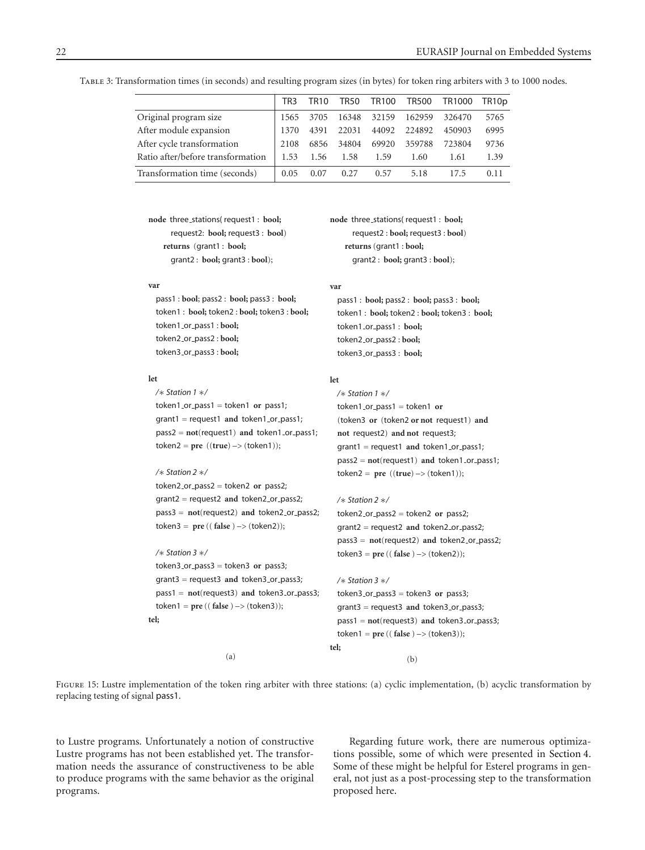|                                   | TR <sub>3</sub> | <b>TR10</b> | TR50  | TR100       | <b>TR500</b> | TR1000 | TR10p |
|-----------------------------------|-----------------|-------------|-------|-------------|--------------|--------|-------|
| Original program size             | 1565            | 3705        |       | 16348 32159 | 162959       | 326470 | 5765  |
| After module expansion            | 1370            | 4391        | 22031 | 44092       | 224892       | 450903 | 6995  |
| After cycle transformation        | 2108            | 6856        | 34804 | 69920       | 359788       | 723804 | 9736  |
| Ratio after/before transformation | 1.53            | 1.56        | 1.58  | 1.59        | 1.60         | 1.61   | 1.39  |
| Transformation time (seconds)     | 0.05            | 0.07        | 0.27  | 0.57        | 5.18         | 17.5   | 0.11  |

<span id="page-21-1"></span><span id="page-21-0"></span>Table 3: Transformation times (in seconds) and resulting program sizes (in bytes) for token ring arbiters with 3 to 1000 nodes.

**node** three stations( request1 : **bool;** request2: **bool;** request3 : **bool**) **returns** (grant1 : **bool;** grant2 : **bool;** grant3 : **bool**);

#### **var**

pass1 : **bool**; pass2 : **bool;** pass3 : **bool;** token1 : **bool;** token2 : **bool;** token3 : **bool;** token1 or pass1 : **bool;** token2 or pass2 : **bool;** token3 or pass3 : **bool;**

#### **let**

*/*∗ *Station 1* ∗*/* token1 or pass1 = token1 **or** pass1; grant1 = request1 **and** token1 or pass1; pass2 = **not**(request1) **and** token1 or pass1; token2 <sup>=</sup> **pre** ((**true**) –*<sup>&</sup>gt;* (token1));

### */*∗ *Station 2* ∗*/*

token2 or pass2 = token2 **or** pass2; grant2 = request2 **and** token2 or pass2; pass3 = **not**(request2) **and** token2 or pass2; token3 <sup>=</sup> **pre** (( **false** ) –*<sup>&</sup>gt;* (token2));

#### */*∗ *Station 3* ∗*/*

token3 or pass3 = token3 **or** pass3; grant3 = request3 **and** token3 or pass3; pass1 = **not**(request3) **and** token3 or pass3; token1 <sup>=</sup> **pre** (( **false** ) –*<sup>&</sup>gt;* (token3)); **tel;**

(a)

<span id="page-21-2"></span>**node** three stations( request1 : **bool;** request2 : **bool;** request3 : **bool**) **returns** (grant1 : **bool;** grant2 : **bool;** grant3 : **bool**);

#### **var**

pass1 : **bool;** pass2 : **bool;** pass3 : **bool;** token1 : **bool;** token2 : **bool;** token3 : **bool;** token1 or pass1 : **bool;** token2 or pass2 : **bool;** token3 or pass3 : **bool;**

## **let**

*/*∗ *Station 1* ∗*/* token1 or pass1 = token1 **or** (token3 **or** (token2 **or not** request1) **and not** request2) **and not** request3; grant1 = request1 **and** token1 or pass1; pass2 = **not**(request1) **and** token1 or pass1; token2 <sup>=</sup> **pre** ((**true**) –*<sup>&</sup>gt;* (token1));

#### */*∗ *Station 2* ∗*/*

token2 or pass2 = token2 **or** pass2; grant2 = request2 **and** token2 or pass2; pass3 = **not**(request2) **and** token2 or pass2; token3 <sup>=</sup> **pre** (( **false** ) –*<sup>&</sup>gt;* (token2));

```
/∗ Station 3 ∗/
 token3 or pass3 = token3 or pass3;
  grant3 = request3 and token3_or_pass3;
 pass1 = not(request3) and token3 or pass3;
 token1 = pre (( false ) –> (token3));
tel;
                     (b)
```
FIGURE 15: Lustre implementation of the token ring arbiter with three stations: (a) cyclic implementation, (b) acyclic transformation by replacing testing of signal pass1.

to Lustre programs. Unfortunately a notion of constructive Lustre programs has not been established yet. The transformation needs the assurance of constructiveness to be able to produce programs with the same behavior as the original programs.

Regarding future work, there are numerous optimizations possible, some of which were presented in [Section 4.](#page-15-0) Some of these might be helpful for Esterel programs in general, not just as a post-processing step to the transformation proposed here.